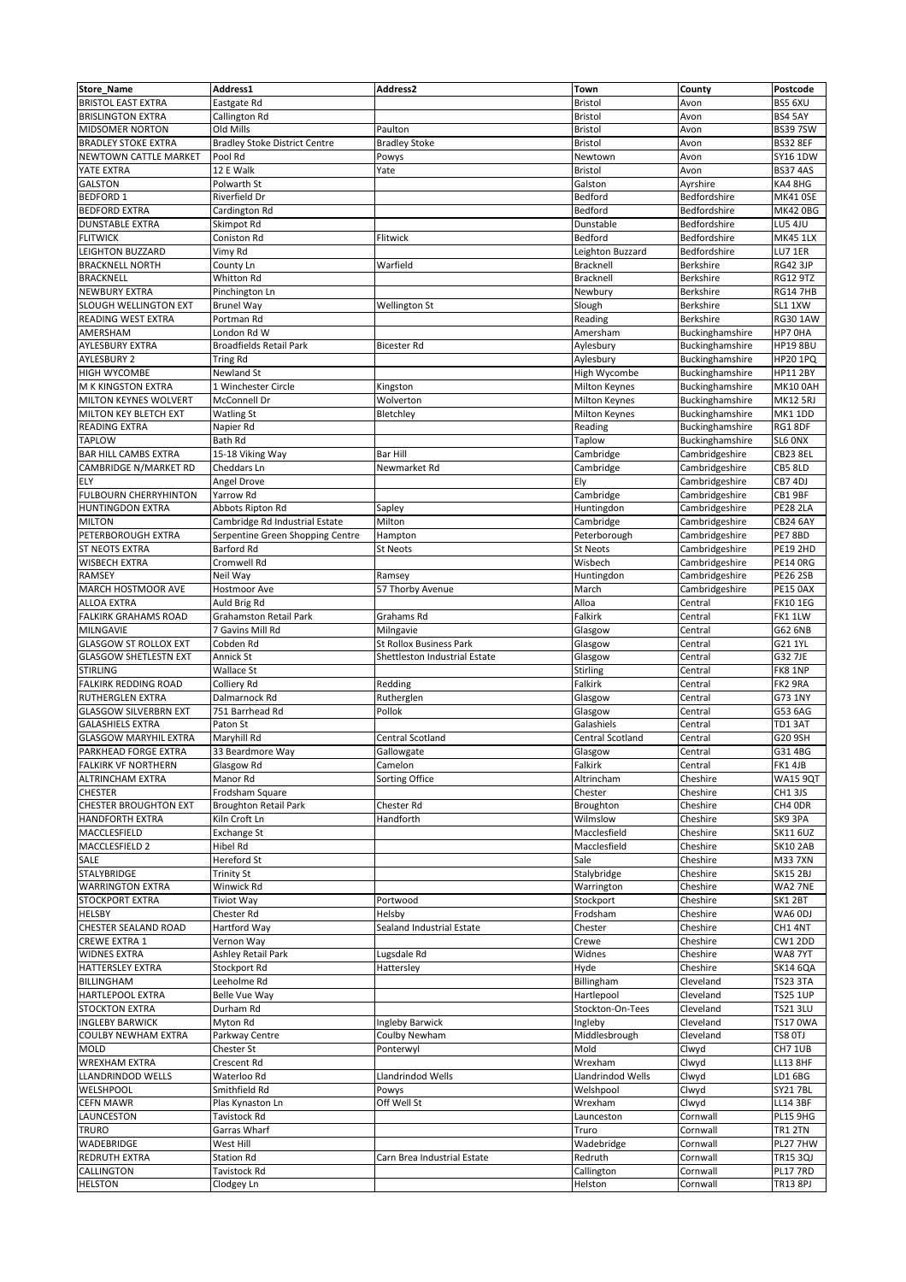| <b>Store_Name</b>            | Address1                             | <b>Address2</b>                | <b>Town</b>             | <b>County</b>    | Postcode        |
|------------------------------|--------------------------------------|--------------------------------|-------------------------|------------------|-----------------|
| <b>BRISTOL EAST EXTRA</b>    | Eastgate Rd                          |                                | <b>Bristol</b>          | Avon             | BS5 6XU         |
| <b>BRISLINGTON EXTRA</b>     | Callington Rd                        |                                | <b>Bristol</b>          | Avon             | BS4 5AY         |
| <b>MIDSOMER NORTON</b>       | Old Mills                            | Paulton                        |                         |                  | <b>BS397SW</b>  |
|                              |                                      |                                | <b>Bristol</b>          | Avon             |                 |
| <b>BRADLEY STOKE EXTRA</b>   | <b>Bradley Stoke District Centre</b> | <b>Bradley Stoke</b>           | <b>Bristol</b>          | Avon             | <b>BS32 8EF</b> |
| NEWTOWN CATTLE MARKET        | Pool Rd                              | Powys                          | Newtown                 | Avon             | SY16 1DW        |
| YATE EXTRA                   | 12 E Walk                            | Yate                           | <b>Bristol</b>          | Avon             | <b>BS37 4AS</b> |
| <b>GALSTON</b>               | Polwarth St                          |                                | Galston                 | Ayrshire         | KA4 8HG         |
| <b>BEDFORD 1</b>             | Riverfield Dr                        |                                | Bedford                 | Bedfordshire     | <b>MK41 0SE</b> |
| <b>BEDFORD EXTRA</b>         | Cardington Rd                        |                                | Bedford                 | Bedfordshire     | <b>MK42 0BG</b> |
| <b>DUNSTABLE EXTRA</b>       | Skimpot Rd                           |                                | Dunstable               | Bedfordshire     | <b>LU5 4JU</b>  |
| <b>FLITWICK</b>              | Coniston Rd                          | Flitwick                       | Bedford                 | Bedfordshire     | <b>MK45 1LX</b> |
| <b>LEIGHTON BUZZARD</b>      | Vimy Rd                              |                                | Leighton Buzzard        | Bedfordshire     | LU7 1ER         |
| <b>BRACKNELL NORTH</b>       | County Ln                            | Warfield                       | Bracknell               | <b>Berkshire</b> | <b>RG42 3JP</b> |
| <b>BRACKNELL</b>             | Whitton Rd                           |                                | Bracknell               | <b>Berkshire</b> | <b>RG12 9TZ</b> |
| <b>NEWBURY EXTRA</b>         | Pinchington Ln                       |                                | Newbury                 | <b>Berkshire</b> | <b>RG14 7HB</b> |
| SLOUGH WELLINGTON EXT        | <b>Brunel Way</b>                    | Wellington St                  | Slough                  | <b>Berkshire</b> | SL1 1XW         |
| <b>READING WEST EXTRA</b>    | Portman Rd                           |                                | Reading                 | <b>Berkshire</b> | <b>RG30 1AW</b> |
| AMERSHAM                     | London Rd W                          |                                | Amersham                | Buckinghamshire  | HP7 OHA         |
| <b>AYLESBURY EXTRA</b>       | <b>Broadfields Retail Park</b>       | <b>Bicester Rd</b>             | Aylesbury               | Buckinghamshire  | <b>HP19 8BU</b> |
| <b>AYLESBURY 2</b>           | <b>Tring Rd</b>                      |                                | Aylesbury               | Buckinghamshire  | <b>HP20 1PQ</b> |
| <b>HIGH WYCOMBE</b>          | Newland St                           |                                | High Wycombe            | Buckinghamshire  | <b>HP11 2BY</b> |
| M K KINGSTON EXTRA           | 1 Winchester Circle                  | Kingston                       | Milton Keynes           | Buckinghamshire  | <b>MK10 0AH</b> |
| <b>MILTON KEYNES WOLVERT</b> | McConnell Dr                         | Wolverton                      | <b>Milton Keynes</b>    | Buckinghamshire  | <b>MK12 5RJ</b> |
| MILTON KEY BLETCH EXT        | <b>Watling St</b>                    | Bletchley                      | <b>Milton Keynes</b>    | Buckinghamshire  | MK1 1DD         |
| <b>READING EXTRA</b>         | Napier Rd                            |                                | Reading                 | Buckinghamshire  | RG1 8DF         |
| <b>TAPLOW</b>                | <b>Bath Rd</b>                       |                                | <b>Taplow</b>           | Buckinghamshire  | SL6 ONX         |
| <b>BAR HILL CAMBS EXTRA</b>  | 15-18 Viking Way                     | <b>Bar Hill</b>                | Cambridge               | Cambridgeshire   | CB23 8EL        |
| <b>CAMBRIDGE N/MARKET RD</b> | <b>Cheddars Ln</b>                   | Newmarket Rd                   | Cambridge               | Cambridgeshire   | CB5 8LD         |
| ELY                          | Angel Drove                          |                                | Ely                     | Cambridgeshire   | CB7 4DJ         |
| <b>FULBOURN CHERRYHINTON</b> | <b>Yarrow Rd</b>                     |                                | Cambridge               | Cambridgeshire   | CB1 9BF         |
| <b>HUNTINGDON EXTRA</b>      |                                      |                                |                         | Cambridgeshire   | <b>PE28 2LA</b> |
|                              | Abbots Ripton Rd                     | Sapley                         | Huntingdon              |                  |                 |
| <b>MILTON</b>                | Cambridge Rd Industrial Estate       | Milton                         | Cambridge               | Cambridgeshire   | <b>CB24 6AY</b> |
| PETERBOROUGH EXTRA           | Serpentine Green Shopping Centre     | Hampton                        | Peterborough            | Cambridgeshire   | PE7 8BD         |
| <b>ST NEOTS EXTRA</b>        | <b>Barford Rd</b>                    | <b>St Neots</b>                | <b>St Neots</b>         | Cambridgeshire   | <b>PE19 2HD</b> |
| <b>WISBECH EXTRA</b>         | Cromwell Rd                          |                                | Wisbech                 | Cambridgeshire   | <b>PE14 ORG</b> |
| <b>RAMSEY</b>                | Neil Way                             | Ramsey                         | Huntingdon              | Cambridgeshire   | <b>PE26 2SB</b> |
| MARCH HOSTMOOR AVE           | <b>Hostmoor Ave</b>                  | 57 Thorby Avenue               | March                   | Cambridgeshire   | <b>PE15 0AX</b> |
| <b>ALLOA EXTRA</b>           | Auld Brig Rd                         |                                | Alloa                   | Central          | <b>FK101EG</b>  |
| <b>FALKIRK GRAHAMS ROAD</b>  | <b>Grahamston Retail Park</b>        | <b>Grahams Rd</b>              | Falkirk                 | Central          | FK11LW          |
| MILNGAVIE                    | 7 Gavins Mill Rd                     | Milngavie                      | Glasgow                 | Central          | G62 6NB         |
| <b>GLASGOW ST ROLLOX EXT</b> | Cobden Rd                            | <b>St Rollox Business Park</b> | Glasgow                 | Central          | G21 1YL         |
| <b>GLASGOW SHETLESTN EXT</b> | Annick St                            | Shettleston Industrial Estate  | Glasgow                 | Central          | G32 7JE         |
| <b>STIRLING</b>              | <b>Wallace St</b>                    |                                | Stirling                | Central          | FK8 1NP         |
| <b>FALKIRK REDDING ROAD</b>  | Colliery Rd                          | Redding                        | Falkirk                 | Central          | FK2 9RA         |
| <b>RUTHERGLEN EXTRA</b>      | Dalmarnock Rd                        | Rutherglen                     | Glasgow                 | Central          | G73 1NY         |
| <b>GLASGOW SILVERBRN EXT</b> | 751 Barrhead Rd                      | Pollok                         | Glasgow                 | Central          | G53 6AG         |
| <b>GALASHIELS EXTRA</b>      | Paton St                             |                                | Galashiels              | Central          | TD1 3AT         |
| <b>GLASGOW MARYHIL EXTRA</b> | Maryhill Rd                          | Central Scotland               | <b>Central Scotland</b> | Central          | G20 9SH         |
| PARKHEAD FORGE EXTRA         | 33 Beardmore Way                     | Gallowgate                     | Glasgow                 | Central          | G31 4BG         |
| <b>FALKIRK VF NORTHERN</b>   | Glasgow Rd                           | Camelon                        | Falkirk                 | Central          | FK1 4JB         |
| <b>ALTRINCHAM EXTRA</b>      | Manor Rd                             | Sorting Office                 | Altrincham              | Cheshire         | <b>WA15 9QT</b> |
| <b>CHESTER</b>               | Frodsham Square                      |                                | Chester                 | Cheshire         | CH1 3JS         |
| <b>CHESTER BROUGHTON EXT</b> | <b>Broughton Retail Park</b>         | <b>Chester Rd</b>              | Broughton               | Cheshire         | CH4 ODR         |
| <b>HANDFORTH EXTRA</b>       | Kiln Croft Ln                        | Handforth                      | Wilmslow                | Cheshire         | SK9 3PA         |
| MACCLESFIELD                 | <b>Exchange St</b>                   |                                | Macclesfield            | Cheshire         | <b>SK11 6UZ</b> |
| MACCLESFIELD 2               | Hibel Rd                             |                                | Macclesfield            | Cheshire         | <b>SK10 2AB</b> |
| <b>SALE</b>                  | Hereford St                          |                                | Sale                    | Cheshire         | <b>M337XN</b>   |
| <b>STALYBRIDGE</b>           | <b>Trinity St</b>                    |                                | Stalybridge             | Cheshire         | <b>SK15 2BJ</b> |
| <b>WARRINGTON EXTRA</b>      | Winwick Rd                           |                                |                         | Cheshire         |                 |
|                              |                                      |                                | Warrington              |                  | WA2 7NE         |
| <b>STOCKPORT EXTRA</b>       | Tiviot Way                           | Portwood                       | Stockport               | Cheshire         | SK12BT          |
| <b>HELSBY</b>                | Chester Rd                           | Helsby                         | Frodsham                | Cheshire         | WA6 ODJ         |
| <b>CHESTER SEALAND ROAD</b>  | <b>Hartford Way</b>                  | Sealand Industrial Estate      | Chester                 | Cheshire         | CH1 4NT         |
| <b>CREWE EXTRA 1</b>         | Vernon Way                           |                                | Crewe                   | Cheshire         | CW1 2DD         |
| <b>WIDNES EXTRA</b>          | Ashley Retail Park                   | Lugsdale Rd                    | Widnes                  | Cheshire         | <b>WA8 7YT</b>  |
| <b>HATTERSLEY EXTRA</b>      | Stockport Rd                         | Hattersley                     | Hyde                    | Cheshire         | <b>SK14 6QA</b> |
| <b>BILLINGHAM</b>            | Leeholme Rd                          |                                | Billingham              | Cleveland        | <b>TS23 3TA</b> |
| <b>HARTLEPOOL EXTRA</b>      | Belle Vue Way                        |                                | Hartlepool              | Cleveland        | <b>TS25 1UP</b> |
| <b>STOCKTON EXTRA</b>        | Durham Rd                            |                                | Stockton-On-Tees        | Cleveland        | <b>TS21 3LU</b> |
| <b>INGLEBY BARWICK</b>       | Myton Rd                             | Ingleby Barwick                | Ingleby                 | Cleveland        | <b>TS17 0WA</b> |
| <b>COULBY NEWHAM EXTRA</b>   | Parkway Centre                       | Coulby Newham                  | Middlesbrough           | Cleveland        | TS8 OTJ         |
| <b>MOLD</b>                  | Chester St                           | Ponterwyl                      | Mold                    | Clwyd            | CH7 1UB         |
| <b>WREXHAM EXTRA</b>         | Crescent Rd                          |                                | Wrexham                 | Clwyd            | <b>LL13 8HF</b> |
| LLANDRINDOD WELLS            | Waterloo Rd                          | Llandrindod Wells              | Llandrindod Wells       | Clwyd            | LD1 6BG         |
| <b>WELSHPOOL</b>             | Smithfield Rd                        | Powys                          | Welshpool               | Clwyd            | <b>SY21 7BL</b> |
| <b>CEFN MAWR</b>             | Plas Kynaston Ln                     | Off Well St                    | Wrexham                 | Clwyd            | <b>LL14 3BF</b> |
| <b>LAUNCESTON</b>            | Tavistock Rd                         |                                | Launceston              | Cornwall         | <b>PL15 9HG</b> |
|                              |                                      |                                |                         |                  |                 |
| <b>TRURO</b>                 | Garras Wharf                         |                                | Truro                   | Cornwall         | <b>TR1 2TN</b>  |
| WADEBRIDGE                   | West Hill                            |                                | Wadebridge              | Cornwall         | PL27 7HW        |
| <b>REDRUTH EXTRA</b>         | <b>Station Rd</b>                    | Carn Brea Industrial Estate    | Redruth                 | Cornwall         | TR15 3QJ        |
| <b>CALLINGTON</b>            | Tavistock Rd                         |                                | Callington              | Cornwall         | PL17 7RD        |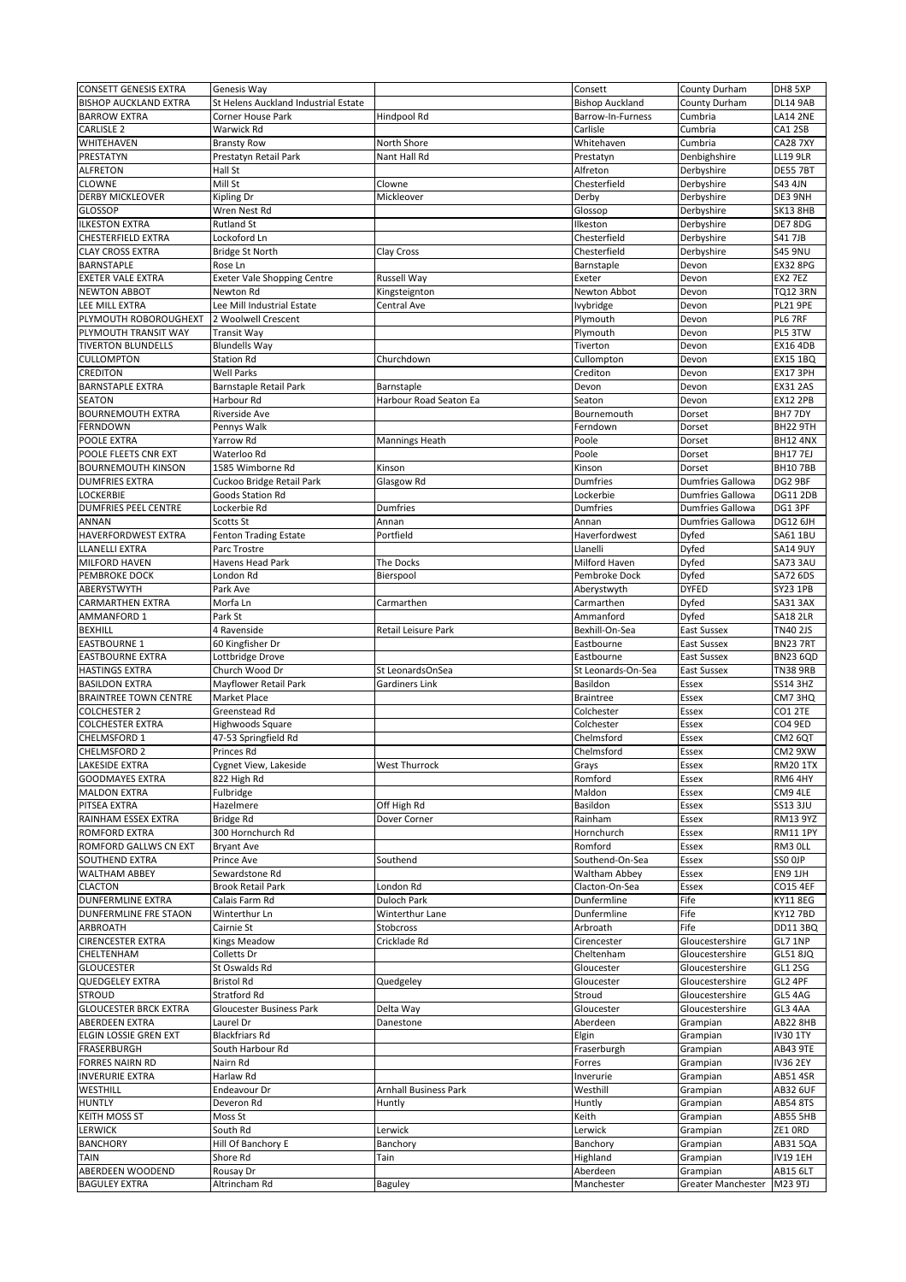| <b>CONSETT GENESIS EXTRA</b>         | Genesis Way                            |                              | Consett                | County Durham           | DH8 5XP                            |
|--------------------------------------|----------------------------------------|------------------------------|------------------------|-------------------------|------------------------------------|
| <b>BISHOP AUCKLAND EXTRA</b>         | St Helens Auckland Industrial Estate   |                              | <b>Bishop Auckland</b> | County Durham           | <b>DL14 9AB</b>                    |
| <b>BARROW EXTRA</b>                  | <b>Corner House Park</b>               | Hindpool Rd                  | Barrow-In-Furness      | Cumbria                 | <b>LA14 2NE</b>                    |
| <b>CARLISLE 2</b>                    | Warwick Rd                             |                              | Carlisle               | Cumbria                 | CA1 2SB                            |
| <b>WHITEHAVEN</b>                    | <b>Bransty Row</b>                     | North Shore                  | Whitehaven             | Cumbria                 | <b>CA28 7XY</b>                    |
| <b>PRESTATYN</b>                     | Prestatyn Retail Park                  | Nant Hall Rd                 | Prestatyn              | Denbighshire            | <b>LL19 9LR</b>                    |
| <b>ALFRETON</b>                      | Hall St                                |                              | Alfreton               | Derbyshire              | <b>DE55 7BT</b>                    |
| <b>CLOWNE</b>                        | Mill St                                | Clowne                       | Chesterfield           | Derbyshire              | <b>S43 4JN</b>                     |
| <b>DERBY MICKLEOVER</b>              | <b>Kipling Dr</b>                      | Mickleover                   | Derby                  | Derbyshire              | DE3 9NH                            |
| <b>GLOSSOP</b>                       | Wren Nest Rd                           |                              | Glossop                | Derbyshire              | <b>SK13 8HB</b>                    |
| <b>ILKESTON EXTRA</b>                | <b>Rutland St</b>                      |                              | Ilkeston               | Derbyshire              | DE7 8DG                            |
| <b>CHESTERFIELD EXTRA</b>            | Lockoford Ln                           |                              | Chesterfield           | Derbyshire              | <b>S41 7JB</b>                     |
| <b>CLAY CROSS EXTRA</b>              | <b>Bridge St North</b>                 | Clay Cross                   | Chesterfield           | Derbyshire              | <b>S45 9NU</b>                     |
| <b>BARNSTAPLE</b>                    | Rose Ln                                |                              | Barnstaple             | Devon                   | <b>EX32 8PG</b>                    |
| <b>EXETER VALE EXTRA</b>             | <b>Exeter Vale Shopping Centre</b>     | <b>Russell Way</b>           | Exeter                 | Devon                   | EX2 7EZ                            |
| <b>NEWTON ABBOT</b>                  | <b>Newton Rd</b>                       | Kingsteignton                | Newton Abbot           | Devon                   | <b>TQ12 3RN</b>                    |
| LEE MILL EXTRA                       | Lee Mill Industrial Estate             | <b>Central Ave</b>           | lvybridge              | Devon                   | <b>PL21 9PE</b>                    |
| PLYMOUTH ROBOROUGHEXT                | 2 Woolwell Crescent                    |                              | Plymouth               | Devon                   | PL6 7RF                            |
| PLYMOUTH TRANSIT WAY                 | <b>Transit Way</b>                     |                              | Plymouth               | Devon                   | PL5 3TW                            |
| <b>TIVERTON BLUNDELLS</b>            | <b>Blundells Way</b>                   |                              | Tiverton               | Devon                   | <b>EX16 4DB</b>                    |
| <b>CULLOMPTON</b><br><b>CREDITON</b> | <b>Station Rd</b><br><b>Well Parks</b> | Churchdown                   | Cullompton<br>Crediton | Devon                   | <b>EX15 1BQ</b>                    |
| <b>BARNSTAPLE EXTRA</b>              | <b>Barnstaple Retail Park</b>          | Barnstaple                   | Devon                  | Devon<br>Devon          | <b>EX17 3PH</b><br><b>EX31 2AS</b> |
| <b>SEATON</b>                        | Harbour Rd                             | Harbour Road Seaton Ea       | Seaton                 | Devon                   | <b>EX12 2PB</b>                    |
| <b>BOURNEMOUTH EXTRA</b>             | <b>Riverside Ave</b>                   |                              | Bournemouth            | Dorset                  | BH77DY                             |
| <b>FERNDOWN</b>                      | Pennys Walk                            |                              | Ferndown               | Dorset                  | BH22 9TH                           |
| POOLE EXTRA                          | Yarrow Rd                              | <b>Mannings Heath</b>        | Poole                  | Dorset                  | <b>BH12 4NX</b>                    |
| POOLE FLEETS CNR EXT                 | Waterloo Rd                            |                              | Poole                  | Dorset                  | <b>BH177EJ</b>                     |
| <b>BOURNEMOUTH KINSON</b>            | 1585 Wimborne Rd                       | Kinson                       | Kinson                 | Dorset                  | <b>BH107BB</b>                     |
| <b>DUMFRIES EXTRA</b>                | Cuckoo Bridge Retail Park              | Glasgow Rd                   | <b>Dumfries</b>        | <b>Dumfries Gallowa</b> | DG2 9BF                            |
| <b>LOCKERBIE</b>                     | Goods Station Rd                       |                              | Lockerbie              | <b>Dumfries Gallowa</b> | <b>DG11 2DB</b>                    |
| <b>DUMFRIES PEEL CENTRE</b>          | Lockerbie Rd                           | <b>Dumfries</b>              | <b>Dumfries</b>        | <b>Dumfries Gallowa</b> | DG1 3PF                            |
| <b>ANNAN</b>                         | <b>Scotts St</b>                       | Annan                        | Annan                  | <b>Dumfries Gallowa</b> | <b>DG12 6JH</b>                    |
| <b>HAVERFORDWEST EXTRA</b>           | <b>Fenton Trading Estate</b>           | Portfield                    | Haverfordwest          | Dyfed                   | <b>SA61 1BU</b>                    |
| <b>LLANELLI EXTRA</b>                | Parc Trostre                           |                              | Llanelli               | Dyfed                   | <b>SA14 9UY</b>                    |
| <b>MILFORD HAVEN</b>                 | Havens Head Park                       | The Docks                    | Milford Haven          | Dyfed                   | SA73 3AU                           |
| <b>PEMBROKE DOCK</b>                 | London Rd                              | Bierspool                    | Pembroke Dock          | Dyfed                   | SA72 6DS                           |
| ABERYSTWYTH                          | Park Ave                               |                              | Aberystwyth            | <b>DYFED</b>            | <b>SY23 1PB</b>                    |
| <b>CARMARTHEN EXTRA</b>              | Morfa Ln                               | Carmarthen                   | Carmarthen             | <b>Dyfed</b>            | SA31 3AX                           |
| <b>AMMANFORD 1</b>                   | Park St                                |                              | Ammanford              | Dyfed                   | <b>SA18 2LR</b>                    |
| <b>BEXHILL</b>                       | 4 Ravenside                            | <b>Retail Leisure Park</b>   | Bexhill-On-Sea         | <b>East Sussex</b>      | <b>TN40 2JS</b>                    |
|                                      |                                        |                              |                        |                         |                                    |
| <b>EASTBOURNE 1</b>                  | 60 Kingfisher Dr                       |                              | Eastbourne             | <b>East Sussex</b>      | BN23 7RT                           |
| <b>EASTBOURNE EXTRA</b>              | Lottbridge Drove                       |                              | Eastbourne             | <b>East Sussex</b>      | <b>BN23 6QD</b>                    |
| <b>HASTINGS EXTRA</b>                | Church Wood Dr                         | St LeonardsOnSea             | St Leonards-On-Sea     | <b>East Sussex</b>      | <b>TN38 9RB</b>                    |
| <b>BASILDON EXTRA</b>                | Mayflower Retail Park                  | <b>Gardiners Link</b>        | Basildon               | Essex                   | <b>SS14 3HZ</b>                    |
| <b>BRAINTREE TOWN CENTRE</b>         | Market Place                           |                              | <b>Braintree</b>       | Essex                   | CM73HQ                             |
| <b>COLCHESTER 2</b>                  | <b>Greenstead Rd</b>                   |                              | Colchester             | Essex                   | CO1 2TE                            |
| <b>COLCHESTER EXTRA</b>              | Highwoods Square                       |                              | Colchester             | Essex                   | CO4 9ED                            |
| CHELMSFORD 1                         | 47-53 Springfield Rd                   |                              | Chelmsford             | Essex                   | CM2 6QT                            |
| <b>CHELMSFORD 2</b>                  | Princes Rd                             |                              | Chelmsford             | Essex                   | CM2 9XW                            |
| <b>LAKESIDE EXTRA</b>                | Cygnet View, Lakeside                  | <b>West Thurrock</b>         | Grays                  | Essex                   | <b>RM20 1TX</b>                    |
| <b>GOODMAYES EXTRA</b>               | 822 High Rd                            |                              | Romford                | Essex                   | RM64HY                             |
| <b>MALDON EXTRA</b>                  | Fulbridge                              |                              | Maldon                 | Essex                   | CM9 4LE                            |
| PITSEA EXTRA<br>RAINHAM ESSEX EXTRA  | Hazelmere                              | Off High Rd                  | Basildon               | Essex                   | <b>SS13 3JU</b>                    |
| <b>ROMFORD EXTRA</b>                 | <b>Bridge Rd</b><br>300 Hornchurch Rd  | Dover Corner                 | Rainham<br>Hornchurch  | Essex<br>Essex          | <b>RM13 9YZ</b><br><b>RM11 1PY</b> |
| <b>ROMFORD GALLWS CN EXT</b>         | <b>Bryant Ave</b>                      |                              | Romford                | Essex                   | RM3 OLL                            |
| <b>SOUTHEND EXTRA</b>                | <b>Prince Ave</b>                      | Southend                     | Southend-On-Sea        | Essex                   | SSO OJP                            |
| <b>WALTHAM ABBEY</b>                 | Sewardstone Rd                         |                              | Waltham Abbey          | Essex                   | EN9 1JH                            |
| <b>CLACTON</b>                       | <b>Brook Retail Park</b>               | London Rd                    | Clacton-On-Sea         | Essex                   | <b>CO15 4EF</b>                    |
| <b>DUNFERMLINE EXTRA</b>             | Calais Farm Rd                         | <b>Duloch Park</b>           | Dunfermline            | Fife                    | <b>KY11 8EG</b>                    |
| <b>DUNFERMLINE FRE STAON</b>         | Winterthur Ln                          | <b>Winterthur Lane</b>       | Dunfermline            | Fife                    | <b>KY12 7BD</b>                    |
| <b>ARBROATH</b>                      | Cairnie St                             | Stobcross                    | Arbroath               | Fife                    | <b>DD11 3BQ</b>                    |
| <b>CIRENCESTER EXTRA</b>             | <b>Kings Meadow</b>                    | Cricklade Rd                 | Cirencester            | Gloucestershire         | GL7 1NP                            |
| CHELTENHAM                           | Colletts Dr                            |                              | Cheltenham             | Gloucestershire         | <b>GL51 8JQ</b>                    |
| <b>GLOUCESTER</b>                    | St Oswalds Rd                          |                              | Gloucester             | Gloucestershire         | <b>GL1 2SG</b>                     |
| <b>QUEDGELEY EXTRA</b>               | <b>Bristol Rd</b>                      | Quedgeley                    | Gloucester             | Gloucestershire         | GL2 4PF                            |
| <b>STROUD</b>                        | <b>Stratford Rd</b>                    |                              | Stroud                 | Gloucestershire         | GL5 4AG                            |
| <b>GLOUCESTER BRCK EXTRA</b>         | <b>Gloucester Business Park</b>        | Delta Way                    | Gloucester             | Gloucestershire         | GL3 4AA                            |
| <b>ABERDEEN EXTRA</b>                | Laurel Dr                              | Danestone                    | Aberdeen               | Grampian                | <b>AB22 8HB</b>                    |
| <b>ELGIN LOSSIE GREN EXT</b>         | <b>Blackfriars Rd</b>                  |                              | Elgin                  | Grampian                | <b>IV30 1TY</b>                    |
| FRASERBURGH                          | South Harbour Rd                       |                              | Fraserburgh            | Grampian                | <b>AB43 9TE</b>                    |
| <b>FORRES NAIRN RD</b>               | Nairn Rd                               |                              | Forres                 | Grampian                | <b>IV36 2EY</b>                    |
| <b>INVERURIE EXTRA</b>               | Harlaw Rd                              |                              | Inverurie              | Grampian                | <b>AB51 4SR</b>                    |
| WESTHILL<br><b>HUNTLY</b>            | Endeavour Dr<br>Deveron Rd             | <b>Arnhall Business Park</b> | Westhill               | Grampian                | <b>AB32 6UF</b><br><b>AB54 8TS</b> |
| <b>KEITH MOSS ST</b>                 | Moss St                                | Huntly                       | Huntly<br>Keith        | Grampian<br>Grampian    | <b>AB55 5HB</b>                    |
| <b>LERWICK</b>                       | South Rd                               | Lerwick                      | Lerwick                | Grampian                | ZE1 ORD                            |
| <b>BANCHORY</b>                      | Hill Of Banchory E                     | Banchory                     | Banchory               | Grampian                | AB31 5QA                           |
| <b>TAIN</b>                          | Shore Rd                               | Tain                         | Highland               | Grampian                | <b>IV19 1EH</b>                    |
| <b>ABERDEEN WOODEND</b>              | Rousay Dr                              |                              | Aberdeen               | Grampian                | <b>AB15 6LT</b>                    |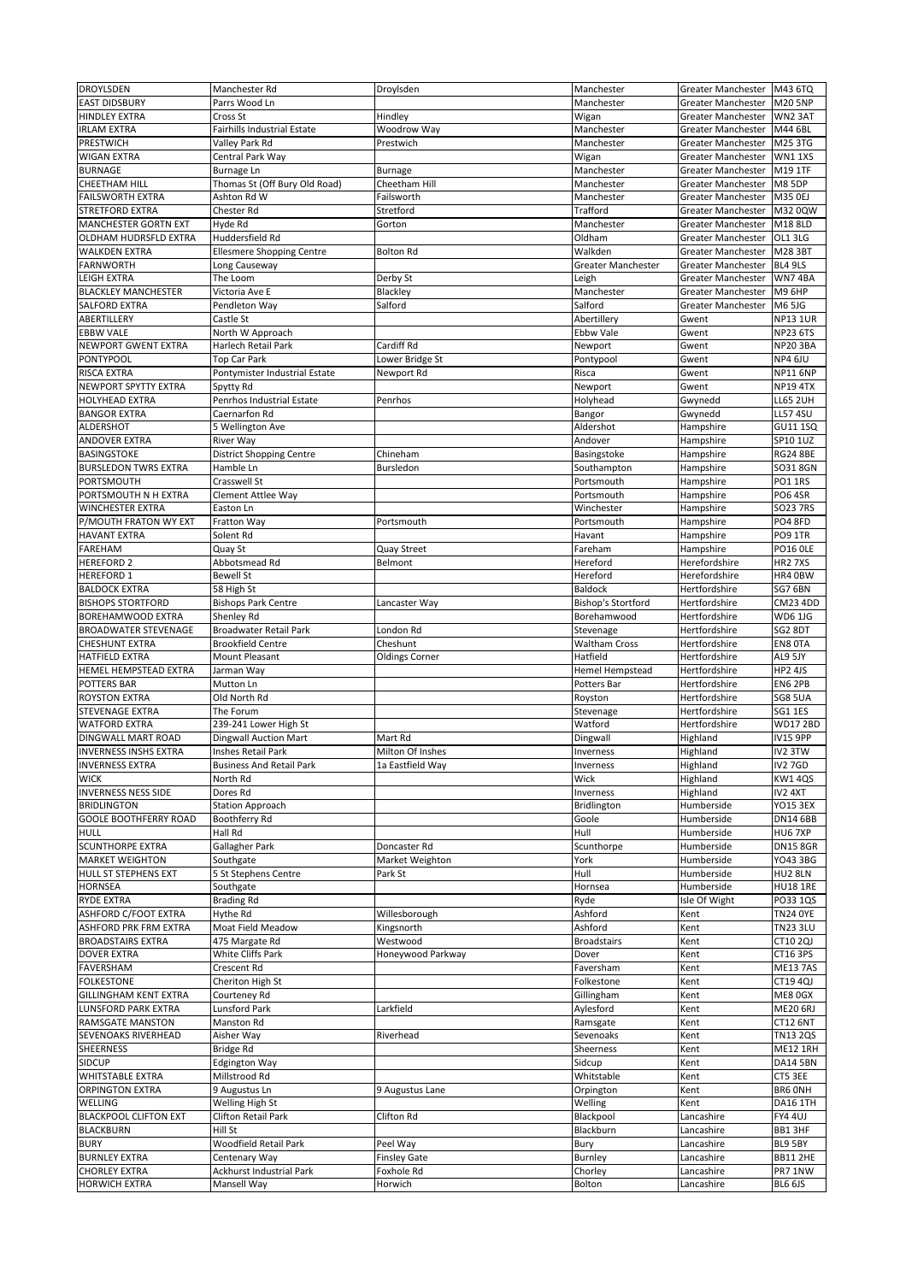| <b>DROYLSDEN</b>                             | Manchester Rd                                  | Droylsden             | Manchester                | <b>Greater Manchester</b> | M43 6TQ            |
|----------------------------------------------|------------------------------------------------|-----------------------|---------------------------|---------------------------|--------------------|
| <b>EAST DIDSBURY</b>                         | Parrs Wood Ln                                  |                       | Manchester                | <b>Greater Manchester</b> | <b>M20 5NP</b>     |
|                                              |                                                |                       |                           |                           |                    |
| <b>HINDLEY EXTRA</b>                         | <b>Cross St</b>                                | Hindley               | Wigan                     | Greater Manchester        | WN2 3AT            |
| <b>IRLAM EXTRA</b>                           | <b>Fairhills Industrial Estate</b>             | Woodrow Way           | Manchester                | <b>Greater Manchester</b> | M44 6BL            |
| PRESTWICH                                    | Valley Park Rd                                 | Prestwich             | Manchester                | <b>Greater Manchester</b> | M25 3TG            |
| <b>WIGAN EXTRA</b>                           | Central Park Way                               |                       | Wigan                     | <b>Greater Manchester</b> | <b>WN11XS</b>      |
| <b>BURNAGE</b>                               | <b>Burnage Ln</b>                              | Burnage               | Manchester                | <b>Greater Manchester</b> | M19 1TF            |
| <b>CHEETHAM HILL</b>                         | Thomas St (Off Bury Old Road)                  | Cheetham Hill         | Manchester                | <b>Greater Manchester</b> | <b>M8 5DP</b>      |
| <b>FAILSWORTH EXTRA</b>                      | Ashton Rd W                                    | Failsworth            | Manchester                | <b>Greater Manchester</b> | M35 0EJ            |
| <b>STRETFORD EXTRA</b>                       | Chester Rd                                     | Stretford             | <b>Trafford</b>           | <b>Greater Manchester</b> | M32 0QW            |
| <b>MANCHESTER GORTN EXT</b>                  | Hyde Rd                                        | Gorton                | Manchester                | <b>Greater Manchester</b> | M18 8LD            |
| OLDHAM HUDRSFLD EXTRA                        | Huddersfield Rd                                |                       | Oldham                    | Greater Manchester        | <b>OL1 3LG</b>     |
| <b>WALKDEN EXTRA</b>                         | <b>Ellesmere Shopping Centre</b>               | <b>Bolton Rd</b>      | Walkden                   | Greater Manchester        | M28 3BT            |
| <b>FARNWORTH</b>                             | Long Causeway                                  |                       | <b>Greater Manchester</b> | <b>Greater Manchester</b> | BL4 9LS            |
| <b>LEIGH EXTRA</b>                           | The Loom                                       | Derby St              | Leigh                     | <b>Greater Manchester</b> | WN74BA             |
| <b>BLACKLEY MANCHESTER</b>                   | Victoria Ave E                                 | Blackley              | Manchester                | <b>Greater Manchester</b> | <b>M9 6HP</b>      |
|                                              |                                                | Salford               |                           |                           |                    |
| <b>SALFORD EXTRA</b>                         | Pendleton Way                                  |                       | Salford                   | <b>Greater Manchester</b> | <b>M6 5JG</b>      |
| ABERTILLERY                                  | Castle St                                      |                       | Abertillery               | Gwent                     | <b>NP13 1UR</b>    |
| <b>EBBW VALE</b>                             | North W Approach                               |                       | Ebbw Vale                 | Gwent                     | <b>NP23 6TS</b>    |
| NEWPORT GWENT EXTRA                          | <b>Harlech Retail Park</b>                     | Cardiff Rd            | Newport                   | Gwent                     | <b>NP20 3BA</b>    |
| PONTYPOOL                                    | Top Car Park                                   | Lower Bridge St       | Pontypool                 | Gwent                     | NP4 6JU            |
| <b>RISCA EXTRA</b>                           | Pontymister Industrial Estate                  | Newport Rd            | Risca                     | Gwent                     | <b>NP116NP</b>     |
| NEWPORT SPYTTY EXTRA                         | Spytty Rd                                      |                       | Newport                   | Gwent                     | <b>NP19 4TX</b>    |
| <b>HOLYHEAD EXTRA</b>                        | Penrhos Industrial Estate                      | Penrhos               | Holyhead                  | Gwynedd                   | <b>LL65 2UH</b>    |
| <b>BANGOR EXTRA</b>                          | Caernarfon Rd                                  |                       | Bangor                    | Gwynedd                   | <b>LL57 4SU</b>    |
| ALDERSHOT                                    | 5 Wellington Ave                               |                       | Aldershot                 | Hampshire                 | <b>GU11 1SQ</b>    |
| <b>ANDOVER EXTRA</b>                         | <b>River Way</b>                               |                       | Andover                   | Hampshire                 | SP10 1UZ           |
| <b>BASINGSTOKE</b>                           | <b>District Shopping Centre</b>                | Chineham              | Basingstoke               | Hampshire                 | <b>RG24 8BE</b>    |
| <b>BURSLEDON TWRS EXTRA</b>                  | Hamble Ln                                      |                       |                           |                           |                    |
|                                              |                                                | <b>Bursledon</b>      | Southampton               | Hampshire                 | SO31 8GN           |
| PORTSMOUTH                                   | Crasswell St                                   |                       | Portsmouth                | Hampshire                 | PO1 1RS            |
| PORTSMOUTH N H EXTRA                         | <b>Clement Attlee Way</b>                      |                       | Portsmouth                | Hampshire                 | PO6 4SR            |
| <b>WINCHESTER EXTRA</b>                      | Easton Ln                                      |                       | Winchester                | Hampshire                 | <b>SO23 7RS</b>    |
| P/MOUTH FRATON WY EXT                        | Fratton Way                                    | Portsmouth            | Portsmouth                | Hampshire                 | PO4 8FD            |
| <b>HAVANT EXTRA</b>                          | Solent Rd                                      |                       | Havant                    | Hampshire                 | PO9 1TR            |
| <b>FAREHAM</b>                               | Quay St                                        | <b>Quay Street</b>    | Fareham                   | Hampshire                 | PO16 OLE           |
| <b>HEREFORD 2</b>                            | Abbotsmead Rd                                  | Belmont               | Hereford                  | Herefordshire             | <b>HR2 7XS</b>     |
| <b>HEREFORD 1</b>                            | <b>Bewell St</b>                               |                       | Hereford                  | Herefordshire             | HR4 0BW            |
| <b>BALDOCK EXTRA</b>                         | 58 High St                                     |                       | <b>Baldock</b>            | Hertfordshire             | SG7 6BN            |
| <b>BISHOPS STORTFORD</b>                     | <b>Bishops Park Centre</b>                     | Lancaster Way         | <b>Bishop's Stortford</b> | Hertfordshire             | <b>CM23 4DD</b>    |
| <b>BOREHAMWOOD EXTRA</b>                     | Shenley Rd                                     |                       | Borehamwood               | Hertfordshire             | <b>WD6 1JG</b>     |
| <b>BROADWATER STEVENAGE</b>                  | Broadwater Retail Park                         | London Rd             | Stevenage                 | Hertfordshire             | SG2 8DT            |
|                                              | <b>Brookfield Centre</b>                       |                       |                           |                           |                    |
| <b>CHESHUNT EXTRA</b>                        |                                                | Cheshunt              | <b>Waltham Cross</b>      | Hertfordshire             | <b>EN8 OTA</b>     |
| <b>HATFIELD EXTRA</b>                        | <b>Mount Pleasant</b>                          | <b>Oldings Corner</b> | Hatfield                  | Hertfordshire             | AL9 5JY            |
| <b>HEMEL HEMPSTEAD EXTRA</b>                 | Jarman Way                                     |                       | Hemel Hempstead           | Hertfordshire             | HP2 4JS            |
| <b>POTTERS BAR</b>                           | Mutton Ln                                      |                       | Potters Bar               | Hertfordshire             | EN6 2PB            |
| <b>ROYSTON EXTRA</b>                         | Old North Rd                                   |                       | Royston                   | Hertfordshire             | <b>SG8 5UA</b>     |
| <b>STEVENAGE EXTRA</b>                       | The Forum                                      |                       | Stevenage                 | Hertfordshire             | <b>SG1 1ES</b>     |
| <b>WATFORD EXTRA</b>                         | 239-241 Lower High St                          |                       | Watford                   | Hertfordshire             | <b>WD172BD</b>     |
| <b>DINGWALL MART ROAD</b>                    | <b>Dingwall Auction Mart</b>                   | Mart Rd               | Dingwall                  | Highland                  | <b>IV15 9PP</b>    |
| <b>INVERNESS INSHS EXTRA</b>                 | Inshes Retail Park                             | Milton Of Inshes      | Inverness                 | Highland                  | IV2 3TW            |
| <b>INVERNESS EXTRA</b>                       | <b>Business And Retail Park</b>                | 1a Eastfield Way      | Inverness                 | Highland                  | IV2 7GD            |
| <b>WICK</b>                                  | North Rd                                       |                       | Wick                      | Highland                  | KW1 4QS            |
| <b>INVERNESS NESS SIDE</b>                   | Dores Rd                                       |                       | Inverness                 | Highland                  | IV2 4XT            |
| <b>BRIDLINGTON</b>                           | <b>Station Approach</b>                        |                       | Bridlington               | Humberside                | <b>YO15 3EX</b>    |
|                                              |                                                |                       |                           |                           |                    |
| <b>GOOLE BOOTHFERRY ROAD</b>                 | <b>Boothferry Rd</b>                           |                       | Goole                     | Humberside                | <b>DN14 6BB</b>    |
| <b>HULL</b>                                  | <b>Hall Rd</b>                                 |                       | Hull                      | Humberside                | HU67XP             |
| <b>SCUNTHORPE EXTRA</b>                      | <b>Gallagher Park</b>                          | Doncaster Rd          | Scunthorpe                | Humberside                | <b>DN15 8GR</b>    |
| <b>MARKET WEIGHTON</b>                       | Southgate                                      | Market Weighton       | York                      | Humberside                | YO43 3BG           |
| <b>HULL ST STEPHENS EXT</b>                  | 5 St Stephens Centre                           | Park St               | Hull                      | Humberside                | <b>HU2 8LN</b>     |
| <b>HORNSEA</b>                               |                                                |                       |                           |                           |                    |
| <b>RYDE EXTRA</b>                            | Southgate                                      |                       | Hornsea                   | Humberside                | <b>HU18 1RE</b>    |
|                                              | <b>Brading Rd</b>                              |                       | Ryde                      | Isle Of Wight             | PO33 1QS           |
| <b>ASHFORD C/FOOT EXTRA</b>                  | Hythe Rd                                       | Willesborough         | Ashford                   | Kent                      | <b>TN24 OYE</b>    |
| <b>ASHFORD PRK FRM EXTRA</b>                 | Moat Field Meadow                              | Kingsnorth            | Ashford                   | Kent                      | <b>TN23 3LU</b>    |
| <b>BROADSTAIRS EXTRA</b>                     | 475 Margate Rd                                 | Westwood              | <b>Broadstairs</b>        | Kent                      | <b>CT10 2QJ</b>    |
| <b>DOVER EXTRA</b>                           | White Cliffs Park                              | Honeywood Parkway     | Dover                     | Kent                      | <b>CT16 3PS</b>    |
| <b>FAVERSHAM</b>                             | Crescent Rd                                    |                       | Faversham                 |                           | <b>ME13 7AS</b>    |
|                                              |                                                |                       |                           | Kent                      |                    |
| <b>FOLKESTONE</b>                            | Cheriton High St                               |                       | Folkestone                | Kent                      | <b>CT19 4QJ</b>    |
| <b>GILLINGHAM KENT EXTRA</b>                 | Courteney Rd                                   |                       | Gillingham                | Kent                      | ME8 0GX            |
| <b>LUNSFORD PARK EXTRA</b>                   | Lunsford Park                                  | Larkfield             | Aylesford                 | Kent                      | <b>ME20 6RJ</b>    |
| <b>RAMSGATE MANSTON</b>                      | <b>Manston Rd</b>                              |                       | Ramsgate                  | Kent                      | <b>CT12 6NT</b>    |
| <b>SEVENOAKS RIVERHEAD</b>                   | Aisher Way                                     | Riverhead             | Sevenoaks                 | Kent                      | <b>TN13 2QS</b>    |
| <b>SHEERNESS</b>                             | Bridge Rd                                      |                       | Sheerness                 | Kent                      | <b>ME12 1RH</b>    |
| <b>SIDCUP</b>                                | <b>Edgington Way</b>                           |                       | Sidcup                    | Kent                      | <b>DA14 5BN</b>    |
| <b>WHITSTABLE EXTRA</b>                      | Millstrood Rd                                  |                       | Whitstable                | Kent                      | CT5 3EE            |
| <b>ORPINGTON EXTRA</b>                       | 9 Augustus Ln                                  | 9 Augustus Lane       | Orpington                 | Kent                      | <b>BR6 ONH</b>     |
| WELLING                                      | <b>Welling High St</b>                         |                       | Welling                   | Kent                      | DA16 1TH           |
| <b>BLACKPOOL CLIFTON EXT</b>                 | <b>Clifton Retail Park</b>                     | <b>Clifton Rd</b>     | Blackpool                 | Lancashire                | FY4 4UJ            |
| <b>BLACKBURN</b>                             | Hill St                                        |                       | Blackburn                 | Lancashire                | BB1 3HF            |
| <b>BURY</b>                                  | <b>Woodfield Retail Park</b>                   |                       |                           |                           | BL9 5BY            |
|                                              |                                                | Peel Way              | Bury                      | Lancashire                |                    |
| <b>BURNLEY EXTRA</b>                         | Centenary Way                                  | <b>Finsley Gate</b>   | Burnley                   | Lancashire                | <b>BB11 2HE</b>    |
| <b>CHORLEY EXTRA</b><br><b>HORWICH EXTRA</b> | <b>Ackhurst Industrial Park</b><br>Mansell Way | Foxhole Rd<br>Horwich | Chorley<br>Bolton         | Lancashire<br>Lancashire  | PR7 1NW<br>BL6 6JS |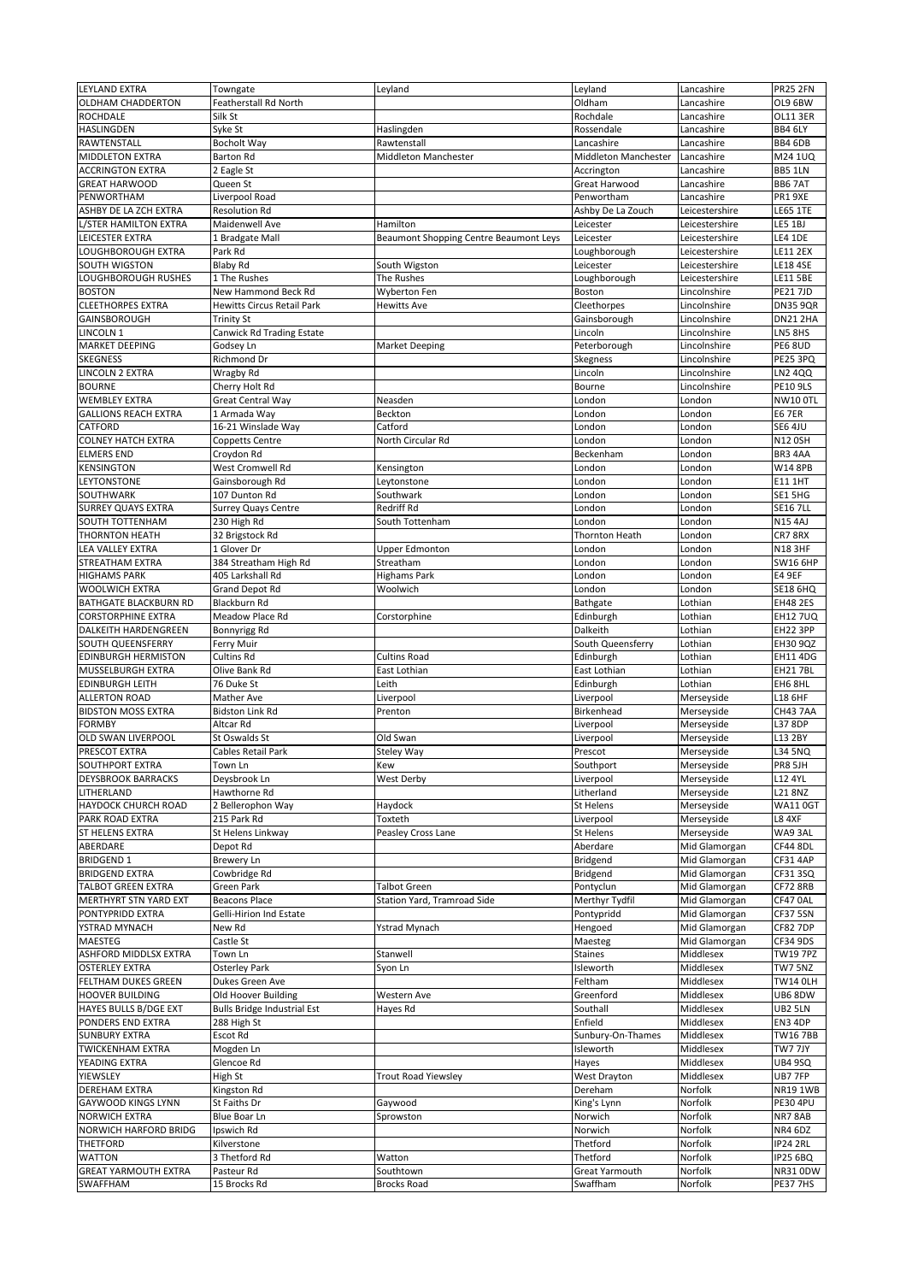| <b>LEYLAND EXTRA</b>                            | Towngate                                              | Leyland                                | Leyland                           | Lancashire                     | <b>PR25 2FN</b>                    |
|-------------------------------------------------|-------------------------------------------------------|----------------------------------------|-----------------------------------|--------------------------------|------------------------------------|
| <b>OLDHAM CHADDERTON</b>                        | <b>Featherstall Rd North</b>                          |                                        | Oldham                            | Lancashire                     | OL9 6BW                            |
| <b>ROCHDALE</b>                                 | Silk St                                               |                                        | Rochdale                          | Lancashire                     | <b>OL11 3ER</b>                    |
| <b>HASLINGDEN</b>                               | Syke St                                               | Haslingden                             | Rossendale                        | Lancashire                     | BB4 6LY                            |
| RAWTENSTALL                                     | <b>Bocholt Way</b>                                    | Rawtenstall                            | Lancashire                        | Lancashire                     | <b>BB4 6DB</b>                     |
| <b>MIDDLETON EXTRA</b>                          | <b>Barton Rd</b>                                      | <b>Middleton Manchester</b>            | <b>Middleton Manchester</b>       | Lancashire                     | M24 1UQ                            |
| <b>ACCRINGTON EXTRA</b>                         | 2 Eagle St                                            |                                        | Accrington                        | Lancashire                     | <b>BB5 1LN</b>                     |
| <b>GREAT HARWOOD</b>                            | Queen St                                              |                                        | <b>Great Harwood</b>              | Lancashire                     | <b>BB6 7AT</b>                     |
| PENWORTHAM                                      | Liverpool Road                                        |                                        | Penwortham                        | Lancashire                     | PR1 9XE                            |
| ASHBY DE LA ZCH EXTRA                           | <b>Resolution Rd</b>                                  |                                        | Ashby De La Zouch                 | Leicestershire                 | <b>LE65 1TE</b>                    |
| L/STER HAMILTON EXTRA                           | Maidenwell Ave                                        | Hamilton                               | Leicester                         | Leicestershire                 | LE5 1BJ                            |
| LEICESTER EXTRA                                 | 1 Bradgate Mall                                       | Beaumont Shopping Centre Beaumont Leys | Leicester                         | Leicestershire                 | <b>LE4 1DE</b>                     |
| LOUGHBOROUGH EXTRA                              | Park Rd                                               |                                        | Loughborough                      | Leicestershire                 | <b>LE11 2EX</b>                    |
| SOUTH WIGSTON                                   | <b>Blaby Rd</b>                                       | South Wigston                          | Leicester                         | Leicestershire                 | <b>LE18 4SE</b>                    |
| LOUGHBOROUGH RUSHES                             | 1 The Rushes                                          | The Rushes                             | Loughborough                      | Leicestershire                 | <b>LE11 5BE</b>                    |
| <b>BOSTON</b>                                   | New Hammond Beck Rd                                   | Wyberton Fen                           | <b>Boston</b>                     | Lincolnshire                   | <b>PE217JD</b>                     |
| <b>CLEETHORPES EXTRA</b><br><b>GAINSBOROUGH</b> | <b>Hewitts Circus Retail Park</b>                     | <b>Hewitts Ave</b>                     | Cleethorpes                       | Lincolnshire<br>Lincolnshire   | <b>DN35 9QR</b><br><b>DN21 2HA</b> |
| LINCOLN 1                                       | <b>Trinity St</b><br><b>Canwick Rd Trading Estate</b> |                                        | Gainsborough<br>Lincoln           | Lincolnshire                   | LN5 8HS                            |
| <b>MARKET DEEPING</b>                           | Godsey Ln                                             | <b>Market Deeping</b>                  | Peterborough                      | Lincolnshire                   | PE6 8UD                            |
| <b>SKEGNESS</b>                                 | <b>Richmond Dr</b>                                    |                                        | <b>Skegness</b>                   | Lincolnshire                   | PE25 3PQ                           |
| LINCOLN 2 EXTRA                                 | Wragby Rd                                             |                                        | Lincoln                           | Lincolnshire                   | <b>LN2 4QQ</b>                     |
| <b>BOURNE</b>                                   | Cherry Holt Rd                                        |                                        | Bourne                            | Lincolnshire                   | <b>PE10 9LS</b>                    |
| <b>WEMBLEY EXTRA</b>                            | <b>Great Central Way</b>                              | Neasden                                | London                            | London                         | NW10 OTL                           |
| <b>GALLIONS REACH EXTRA</b>                     | 1 Armada Way                                          | Beckton                                | London                            | London                         | <b>E6 7ER</b>                      |
| <b>CATFORD</b>                                  | 16-21 Winslade Way                                    | Catford                                | London                            | London                         | <b>SE6 4JU</b>                     |
| <b>COLNEY HATCH EXTRA</b>                       | <b>Coppetts Centre</b>                                | North Circular Rd                      | London                            | London                         | N12 0SH                            |
| <b>ELMERS END</b>                               | Croydon Rd                                            |                                        | Beckenham                         | London                         | BR3 4AA                            |
| <b>KENSINGTON</b>                               | West Cromwell Rd                                      | Kensington                             | London                            | London                         | <b>W14 8PB</b>                     |
| <b>LEYTONSTONE</b>                              | Gainsborough Rd                                       | Leytonstone                            | London                            | London                         | <b>E11 1HT</b>                     |
| SOUTHWARK                                       | 107 Dunton Rd                                         | Southwark                              | London                            | London                         | SE1 5HG                            |
| <b>SURREY QUAYS EXTRA</b>                       | <b>Surrey Quays Centre</b>                            | <b>Redriff Rd</b>                      | London                            | London                         | <b>SE16 7LL</b>                    |
| <b>SOUTH TOTTENHAM</b>                          | 230 High Rd                                           | South Tottenham                        | London                            | London                         | <b>N15 4AJ</b>                     |
| <b>THORNTON HEATH</b>                           | 32 Brigstock Rd                                       |                                        | <b>Thornton Heath</b>             | London                         | CR7 8RX                            |
| <b>LEA VALLEY EXTRA</b>                         | 1 Glover Dr                                           | <b>Upper Edmonton</b>                  | London                            | London                         | <b>N18 3HF</b>                     |
| <b>STREATHAM EXTRA</b><br><b>HIGHAMS PARK</b>   | 384 Streatham High Rd<br>405 Larkshall Rd             | Streatham                              | London                            | London                         | <b>SW16 6HP</b><br><b>E4 9EF</b>   |
| <b>WOOLWICH EXTRA</b>                           | <b>Grand Depot Rd</b>                                 | <b>Highams Park</b><br>Woolwich        | London<br>London                  | London<br>London               | <b>SE18 6HQ</b>                    |
| <b>BATHGATE BLACKBURN RD</b>                    | Blackburn Rd                                          |                                        | Bathgate                          | Lothian                        | <b>EH48 2ES</b>                    |
| <b>CORSTORPHINE EXTRA</b>                       | Meadow Place Rd                                       | Corstorphine                           | Edinburgh                         | Lothian                        | EH12 7UQ                           |
| DALKEITH HARDENGREEN                            | Bonnyrigg Rd                                          |                                        | Dalkeith                          | Lothian                        | EH22 3PP                           |
| SOUTH QUEENSFERRY                               | Ferry Muir                                            |                                        | South Queensferry                 | Lothian                        | <b>EH30 9QZ</b>                    |
| <b>EDINBURGH HERMISTON</b>                      | <b>Cultins Rd</b>                                     | <b>Cultins Road</b>                    | Edinburgh                         | Lothian                        | EH11 4DG                           |
| <b>MUSSELBURGH EXTRA</b>                        | Olive Bank Rd                                         | East Lothian                           | East Lothian                      | Lothian                        | <b>EH217BL</b>                     |
| <b>EDINBURGH LEITH</b>                          | 76 Duke St                                            | Leith                                  | Edinburgh                         | Lothian                        | EH6 8HL                            |
| <b>ALLERTON ROAD</b>                            | <b>Mather Ave</b>                                     | Liverpool                              | Liverpool                         | Merseyside                     | L18 6HF                            |
| <b>BIDSTON MOSS EXTRA</b>                       | <b>Bidston Link Rd</b>                                | Prenton                                | Birkenhead                        | Merseyside                     | CH43 7AA                           |
| <b>FORMBY</b>                                   |                                                       |                                        |                                   |                                |                                    |
|                                                 | Altcar Rd                                             |                                        | Liverpool                         | Merseyside                     | L37 8DP                            |
| <b>OLD SWAN LIVERPOOL</b>                       | St Oswalds St                                         | Old Swan                               | Liverpool                         | Merseyside                     | L13 2BY                            |
| PRESCOT EXTRA                                   | Cables Retail Park                                    | Steley Way                             | Prescot                           | Merseyside                     | L34 5NQ                            |
| <b>SOUTHPORT EXTRA</b>                          | Town Ln                                               | Kew                                    | Southport                         | Merseyside                     | PR8 5JH                            |
| <b>DEYSBROOK BARRACKS</b>                       | Deysbrook Ln                                          | <b>West Derby</b>                      | Liverpool                         | Merseyside                     | L12 4YL                            |
| LITHERLAND                                      | Hawthorne Rd                                          |                                        | Litherland                        | Merseyside                     | L218NZ                             |
| HAYDOCK CHURCH ROAD                             | 2 Bellerophon Way                                     | Haydock                                | St Helens                         | Merseyside                     | <b>WA110GT</b>                     |
| PARK ROAD EXTRA                                 | 215 Park Rd                                           | Toxteth                                | Liverpool                         | Merseyside                     | <b>L8 4XF</b>                      |
| <b>ST HELENS EXTRA</b>                          | St Helens Linkway                                     | Peasley Cross Lane                     | <b>St Helens</b>                  | Merseyside                     | WA93AL                             |
| ABERDARE<br><b>BRIDGEND 1</b>                   | Depot Rd<br><b>Brewery Ln</b>                         |                                        | Aberdare<br><b>Bridgend</b>       | Mid Glamorgan                  | CF44 8DL<br>CF31 4AP               |
| <b>BRIDGEND EXTRA</b>                           | Cowbridge Rd                                          |                                        | Bridgend                          | Mid Glamorgan<br>Mid Glamorgan | CF31 3SQ                           |
| <b>TALBOT GREEN EXTRA</b>                       | <b>Green Park</b>                                     | <b>Talbot Green</b>                    | Pontyclun                         | Mid Glamorgan                  | CF72 8RB                           |
| <b>MERTHYRT STN YARD EXT</b>                    | <b>Beacons Place</b>                                  | <b>Station Yard, Tramroad Side</b>     | Merthyr Tydfil                    | Mid Glamorgan                  | CF47 0AL                           |
| PONTYPRIDD EXTRA                                | <b>Gelli-Hirion Ind Estate</b>                        |                                        | Pontypridd                        | Mid Glamorgan                  | CF37 5SN                           |
| YSTRAD MYNACH                                   | New Rd                                                | <b>Ystrad Mynach</b>                   | Hengoed                           | Mid Glamorgan                  | CF82 7DP                           |
| <b>MAESTEG</b>                                  | Castle St                                             |                                        | Maesteg                           | Mid Glamorgan                  | CF34 9DS                           |
| <b>ASHFORD MIDDLSX EXTRA</b>                    | Town Ln                                               | Stanwell                               | <b>Staines</b>                    | Middlesex                      | <b>TW19 7PZ</b>                    |
| <b>OSTERLEY EXTRA</b>                           | <b>Osterley Park</b>                                  | Syon Ln                                | Isleworth                         | Middlesex                      | TW7 5NZ                            |
| <b>FELTHAM DUKES GREEN</b>                      | Dukes Green Ave                                       |                                        | Feltham                           | Middlesex                      | <b>TW14 OLH</b>                    |
| <b>HOOVER BUILDING</b>                          | Old Hoover Building                                   | Western Ave                            | Greenford                         | Middlesex                      | UB6 8DW                            |
| <b>HAYES BULLS B/DGE EXT</b>                    | <b>Bulls Bridge Industrial Est</b>                    | Hayes Rd                               | Southall                          | Middlesex                      | <b>UB2 5LN</b>                     |
| PONDERS END EXTRA                               | 288 High St                                           |                                        | Enfield                           | Middlesex                      | EN3 4DP                            |
| <b>SUNBURY EXTRA</b>                            | Escot Rd                                              |                                        | Sunbury-On-Thames<br>Isleworth    | Middlesex                      | TW16 7BB                           |
| <b>TWICKENHAM EXTRA</b><br>YEADING EXTRA        | Mogden Ln<br>Glencoe Rd                               |                                        |                                   | Middlesex<br>Middlesex         | TW7 7JY                            |
| <b>YIEWSLEY</b>                                 | High St                                               | <b>Trout Road Yiewsley</b>             | Hayes<br>West Drayton             | Middlesex                      | UB4 9SQ<br>UB7 7FP                 |
| <b>DEREHAM EXTRA</b>                            | Kingston Rd                                           |                                        | Dereham                           | Norfolk                        | <b>NR191WB</b>                     |
| <b>GAYWOOD KINGS LYNN</b>                       | St Faiths Dr                                          | Gaywood                                | King's Lynn                       | Norfolk                        | PE30 4PU                           |
| <b>NORWICH EXTRA</b>                            | <b>Blue Boar Ln</b>                                   | Sprowston                              | Norwich                           | Norfolk                        | NR7 8AB                            |
| <b>NORWICH HARFORD BRIDG</b>                    | Ipswich Rd                                            |                                        | Norwich                           | Norfolk                        | NR4 6DZ                            |
| <b>THETFORD</b>                                 | Kilverstone                                           |                                        | Thetford                          | Norfolk                        | <b>IP24 2RL</b>                    |
| <b>WATTON</b>                                   | 3 Thetford Rd                                         | Watton                                 | Thetford                          | <b>Norfolk</b>                 | <b>IP25 6BQ</b>                    |
| <b>GREAT YARMOUTH EXTRA</b><br><b>SWAFFHAM</b>  | Pasteur Rd<br>15 Brocks Rd                            | Southtown<br><b>Brocks Road</b>        | <b>Great Yarmouth</b><br>Swaffham | Norfolk<br>Norfolk             | NR31 0DW<br>PE37 7HS               |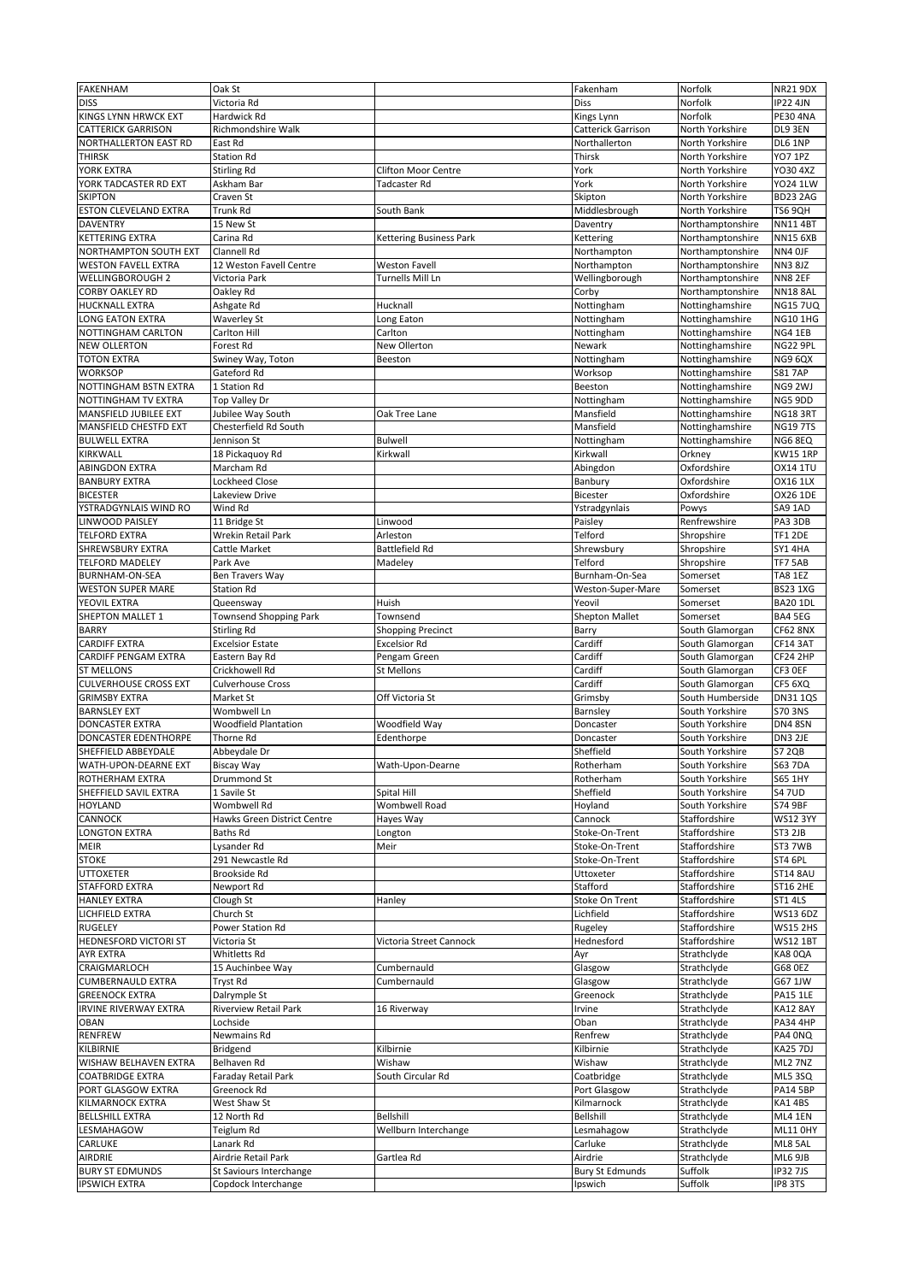| FAKENHAM                                       | Oak St                                         |                                | Fakenham                          | Norfolk                            | <b>NR21 9DX</b>                   |
|------------------------------------------------|------------------------------------------------|--------------------------------|-----------------------------------|------------------------------------|-----------------------------------|
| <b>DISS</b>                                    | Victoria Rd                                    |                                | <b>Diss</b>                       | Norfolk                            | <b>IP22 4JN</b>                   |
| <b>KINGS LYNN HRWCK EXT</b>                    | Hardwick Rd                                    |                                | Kings Lynn                        | Norfolk                            | PE30 4NA                          |
| <b>CATTERICK GARRISON</b>                      | Richmondshire Walk                             |                                | Catterick Garrison                | North Yorkshire                    | DL9 3EN                           |
| <b>NORTHALLERTON EAST RD</b>                   | East Rd                                        |                                | Northallerton                     | North Yorkshire                    | DL6 1NP                           |
| <b>THIRSK</b>                                  | <b>Station Rd</b>                              |                                | Thirsk                            | North Yorkshire                    | <b>YO7 1PZ</b>                    |
| YORK EXTRA                                     | Stirling Rd                                    | <b>Clifton Moor Centre</b>     | York                              | North Yorkshire                    | YO30 4XZ                          |
| YORK TADCASTER RD EXT                          | Askham Bar                                     | <b>Tadcaster Rd</b>            | York                              | North Yorkshire                    | <b>YO24 1LW</b>                   |
| <b>SKIPTON</b>                                 | Craven St                                      |                                | Skipton                           | North Yorkshire                    | <b>BD23 2AG</b>                   |
| <b>ESTON CLEVELAND EXTRA</b>                   | Trunk Rd                                       | South Bank                     | Middlesbrough                     | North Yorkshire                    | <b>TS6 9QH</b>                    |
| <b>DAVENTRY</b>                                | 15 New St                                      |                                | Daventry                          | Northamptonshire                   | <b>NN114BT</b>                    |
| <b>KETTERING EXTRA</b>                         | Carina Rd                                      | <b>Kettering Business Park</b> | Kettering                         | Northamptonshire                   | <b>NN15 6XB</b>                   |
| <b>NORTHAMPTON SOUTH EXT</b>                   | <b>Clannell Rd</b>                             |                                | Northampton                       | Northamptonshire                   | NN4 OJF                           |
| <b>WESTON FAVELL EXTRA</b>                     | 12 Weston Favell Centre                        | <b>Weston Favell</b>           | Northampton                       | Northamptonshire                   | <b>NN3 8JZ</b>                    |
| <b>WELLINGBOROUGH 2</b>                        | Victoria Park                                  | Turnells Mill Ln               | Wellingborough                    | Northamptonshire                   | <b>NN8 2EF</b>                    |
| <b>CORBY OAKLEY RD</b>                         | Oakley Rd                                      |                                | Corby                             | Northamptonshire                   | <b>NN18 8AL</b>                   |
| <b>HUCKNALL EXTRA</b><br>LONG EATON EXTRA      | Ashgate Rd                                     | Hucknall                       | Nottingham                        | Nottinghamshire<br>Nottinghamshire | <b>NG157UQ</b><br><b>NG10 1HG</b> |
| NOTTINGHAM CARLTON                             | Waverley St<br><b>Carlton Hill</b>             | Long Eaton<br>Carlton          | Nottingham                        | Nottinghamshire                    | NG4 1EB                           |
| <b>NEW OLLERTON</b>                            | Forest Rd                                      | New Ollerton                   | Nottingham<br>Newark              |                                    | NG22 9PL                          |
| <b>TOTON EXTRA</b>                             | Swiney Way, Toton                              | Beeston                        | Nottingham                        | Nottinghamshire<br>Nottinghamshire | NG9 6QX                           |
| <b>WORKSOP</b>                                 | Gateford Rd                                    |                                | Worksop                           | Nottinghamshire                    | <b>S81 7AP</b>                    |
| NOTTINGHAM BSTN EXTRA                          | 1 Station Rd                                   |                                | Beeston                           | Nottinghamshire                    | NG9 2WJ                           |
| NOTTINGHAM TV EXTRA                            | Top Valley Dr                                  |                                | Nottingham                        | Nottinghamshire                    | NG5 9DD                           |
| <b>MANSFIELD JUBILEE EXT</b>                   | Jubilee Way South                              | Oak Tree Lane                  | Mansfield                         | Nottinghamshire                    | NG183RT                           |
| MANSFIELD CHESTFD EXT                          | Chesterfield Rd South                          |                                | Mansfield                         | Nottinghamshire                    | <b>NG19 7TS</b>                   |
| <b>BULWELL EXTRA</b>                           | Jennison St                                    | <b>Bulwell</b>                 | Nottingham                        | Nottinghamshire                    | NG6 8EQ                           |
| <b>KIRKWALL</b>                                | 18 Pickaquoy Rd                                | Kirkwall                       | Kirkwall                          | Orkney                             | <b>KW15 1RP</b>                   |
| <b>ABINGDON EXTRA</b>                          | Marcham Rd                                     |                                | Abingdon                          | Oxfordshire                        | <b>OX14 1TU</b>                   |
| <b>BANBURY EXTRA</b>                           | Lockheed Close                                 |                                | Banbury                           | Oxfordshire                        | <b>OX16 1LX</b>                   |
| <b>BICESTER</b>                                | Lakeview Drive                                 |                                | Bicester                          | Oxfordshire                        | <b>OX26 1DE</b>                   |
| YSTRADGYNLAIS WIND RO                          | <b>Wind Rd</b>                                 |                                | Ystradgynlais                     | Powys                              | SA9 1AD                           |
| <b>LINWOOD PAISLEY</b>                         | 11 Bridge St                                   | Linwood                        | Paisley                           | Renfrewshire                       | PA3 3DB                           |
| <b>TELFORD EXTRA</b>                           | <b>Wrekin Retail Park</b>                      | Arleston                       | <b>Telford</b>                    | Shropshire                         | <b>TF1 2DE</b>                    |
| <b>SHREWSBURY EXTRA</b>                        | Cattle Market                                  | <b>Battlefield Rd</b>          | Shrewsbury                        | Shropshire                         | SY14HA                            |
| <b>TELFORD MADELEY</b>                         | Park Ave                                       | Madeley                        | Telford                           | Shropshire                         | <b>TF7 5AB</b>                    |
| <b>BURNHAM-ON-SEA</b>                          | Ben Travers Way                                |                                | Burnham-On-Sea                    | Somerset                           | <b>TA8 1EZ</b>                    |
| <b>WESTON SUPER MARE</b>                       | <b>Station Rd</b>                              |                                | Weston-Super-Mare                 | Somerset                           | <b>BS23 1XG</b>                   |
| YEOVIL EXTRA                                   | Queensway                                      | <b>Huish</b>                   | Yeovil                            | Somerset                           | <b>BA20 1DL</b>                   |
| <b>SHEPTON MALLET 1</b>                        | <b>Townsend Shopping Park</b>                  | Townsend                       | <b>Shepton Mallet</b>             | Somerset                           | <b>BA4 5EG</b>                    |
| <b>BARRY</b>                                   | Stirling Rd                                    | <b>Shopping Precinct</b>       | <b>Barry</b>                      | South Glamorgan                    | <b>CF62 8NX</b>                   |
| <b>CARDIFF EXTRA</b>                           | <b>Excelsior Estate</b>                        | <b>Excelsior Rd</b>            | Cardiff                           | South Glamorgan                    | <b>CF14 3AT</b>                   |
| <b>CARDIFF PENGAM EXTRA</b>                    | Eastern Bay Rd                                 | Pengam Green                   | Cardiff                           | South Glamorgan                    | CF24 2HP                          |
| <b>ST MELLONS</b>                              | Crickhowell Rd                                 | <b>St Mellons</b>              | Cardiff                           | South Glamorgan                    | CF3 OEF                           |
| <b>CULVERHOUSE CROSS EXT</b>                   | <b>Culverhouse Cross</b>                       |                                | Cardiff                           | South Glamorgan                    | CF5 6XQ                           |
| <b>GRIMSBY EXTRA</b>                           | Market St                                      | Off Victoria St                | Grimsby                           | South Humberside                   | <b>DN31 1QS</b>                   |
| <b>BARNSLEY EXT</b>                            | Wombwell Ln                                    |                                | Barnsley                          | South Yorkshire                    | <b>S70 3NS</b>                    |
| <b>DONCASTER EXTRA</b>                         | <b>Woodfield Plantation</b>                    | Woodfield Way                  | Doncaster                         | South Yorkshire                    | <b>DN4 8SN</b>                    |
| <b>DONCASTER EDENTHORPE</b>                    | Thorne Rd                                      | Edenthorpe                     | Doncaster                         | South Yorkshire                    | DN3 2JE                           |
| SHEFFIELD ABBEYDALE                            | Abbeydale Dr                                   |                                | Sheffield                         | South Yorkshire                    | <b>S7 2QB</b>                     |
| <b>WATH-UPON-DEARNE EXT</b>                    | <b>Biscay Way</b>                              | Wath-Upon-Dearne               | Rotherham                         | South Yorkshire                    | <b>S63 7DA</b>                    |
| <b>ROTHERHAM EXTRA</b>                         | Drummond St                                    |                                | Rotherham                         | South Yorkshire                    | <b>S65 1HY</b>                    |
| SHEFFIELD SAVIL EXTRA                          | 1 Savile St                                    | Spital Hill                    | Sheffield                         | South Yorkshire                    | <b>S47UD</b>                      |
| <b>HOYLAND</b>                                 | Wombwell Rd                                    | <b>Wombwell Road</b>           | Hoyland                           | South Yorkshire                    | S74 9BF                           |
| <b>CANNOCK</b>                                 | <b>Hawks Green District Centre</b>             | Hayes Way                      | Cannock                           | Staffordshire                      | <b>WS12 3YY</b>                   |
| <b>LONGTON EXTRA</b>                           | <b>Baths Rd</b>                                | Longton                        | Stoke-On-Trent                    | Staffordshire                      | <b>ST3 2JB</b>                    |
| <b>MEIR</b>                                    | Lysander Rd                                    | Meir                           | Stoke-On-Trent                    | Staffordshire                      | ST3 7WB                           |
| <b>STOKE</b>                                   | 291 Newcastle Rd                               |                                | Stoke-On-Trent                    | Staffordshire                      | ST4 6PL                           |
| <b>UTTOXETER</b>                               | Brookside Rd                                   |                                | Uttoxeter                         | Staffordshire                      | <b>ST14 8AU</b>                   |
| <b>STAFFORD EXTRA</b>                          | Newport Rd                                     |                                | <b>Stafford</b>                   | Staffordshire                      | ST16 2HE                          |
| <b>HANLEY EXTRA</b>                            | Clough St                                      | Hanley                         | Stoke On Trent                    | Staffordshire                      | <b>ST1 4LS</b>                    |
| <b>LICHFIELD EXTRA</b>                         | Church St                                      |                                | Lichfield                         | Staffordshire                      | <b>WS13 6DZ</b>                   |
| <b>RUGELEY</b>                                 | Power Station Rd                               |                                | Rugeley                           | Staffordshire                      | <b>WS15 2HS</b>                   |
| <b>HEDNESFORD VICTORI ST</b>                   | Victoria St                                    | Victoria Street Cannock        | Hednesford                        | Staffordshire                      | <b>WS12 1BT</b>                   |
| <b>AYR EXTRA</b>                               | Whitletts Rd                                   |                                | Ayr                               | Strathclyde                        | KA8 OQA                           |
| CRAIGMARLOCH                                   | 15 Auchinbee Way                               | Cumbernauld                    | Glasgow                           | Strathclyde                        | G68 0EZ                           |
| <b>CUMBERNAULD EXTRA</b>                       | Tryst Rd                                       | Cumbernauld                    | Glasgow                           | Strathclyde                        | G67 1JW                           |
| <b>GREENOCK EXTRA</b>                          | Dalrymple St                                   |                                | Greenock                          | Strathclyde                        | <b>PA15 1LE</b>                   |
| <b>IRVINE RIVERWAY EXTRA</b>                   | <b>Riverview Retail Park</b>                   | 16 Riverway                    | Irvine                            | Strathclyde                        | <b>KA12 8AY</b>                   |
| <b>OBAN</b>                                    | Lochside                                       |                                | Oban                              | Strathclyde                        | <b>PA34 4HP</b>                   |
| <b>RENFREW</b>                                 | <b>Newmains Rd</b>                             |                                | Renfrew                           | Strathclyde                        | PA4 0NQ                           |
| KILBIRNIE                                      | Bridgend                                       | Kilbirnie                      | Kilbirnie                         | Strathclyde                        | KA25 7DJ                          |
| <b>WISHAW BELHAVEN EXTRA</b>                   |                                                | Wishaw                         | Wishaw                            | Strathclyde                        | ML2 7NZ                           |
| <b>COATBRIDGE EXTRA</b>                        | Belhaven Rd                                    |                                |                                   |                                    |                                   |
|                                                | Faraday Retail Park                            | South Circular Rd              | Coatbridge                        | Strathclyde                        | <b>ML5 3SQ</b>                    |
| PORT GLASGOW EXTRA                             | Greenock Rd                                    |                                | Port Glasgow                      | Strathclyde                        | <b>PA14 5BP</b>                   |
| <b>KILMARNOCK EXTRA</b>                        | West Shaw St                                   |                                | Kilmarnock                        | Strathclyde                        | KA14BS                            |
| <b>BELLSHILL EXTRA</b>                         | 12 North Rd                                    | Bellshill                      | <b>Bellshill</b>                  | Strathclyde                        | ML4 1EN                           |
| LESMAHAGOW                                     | Teiglum Rd                                     | Wellburn Interchange           | Lesmahagow                        | Strathclyde                        | <b>ML11 0HY</b>                   |
| <b>CARLUKE</b>                                 | Lanark Rd                                      |                                | Carluke                           | Strathclyde                        | ML8 5AL                           |
| <b>AIRDRIE</b>                                 | Airdrie Retail Park                            | Gartlea Rd                     | Airdrie                           | Strathclyde                        | ML6 9JB                           |
| <b>BURY ST EDMUNDS</b><br><b>IPSWICH EXTRA</b> | St Saviours Interchange<br>Copdock Interchange |                                | <b>Bury St Edmunds</b><br>Ipswich | Suffolk<br>Suffolk                 | <b>IP32 7JS</b><br>IP8 3TS        |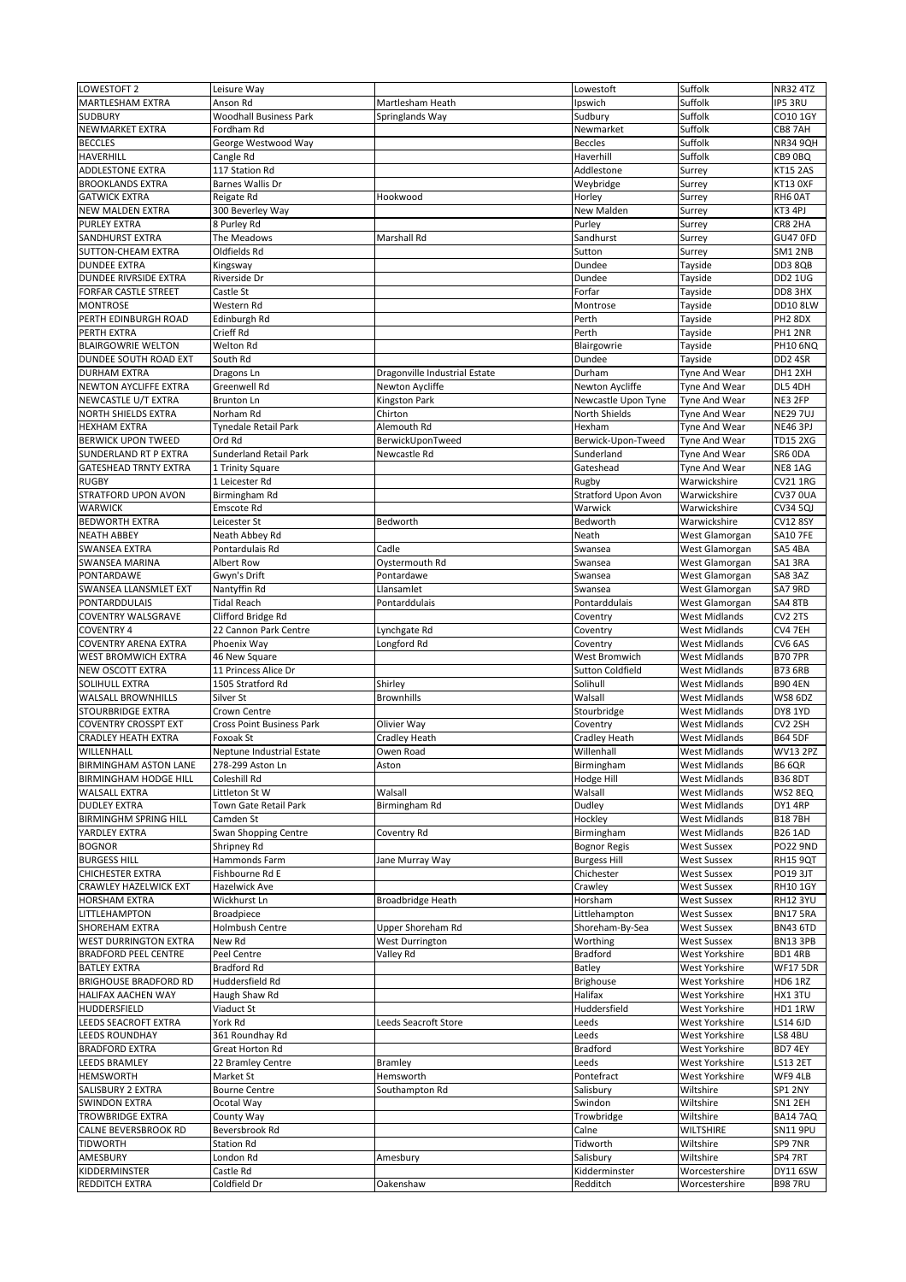| LOWESTOFT 2                  | Leisure Way                      |                               | Lowestoft                           | Suffolk              | <b>NR32 4TZ</b>     |
|------------------------------|----------------------------------|-------------------------------|-------------------------------------|----------------------|---------------------|
| <b>MARTLESHAM EXTRA</b>      | Anson Rd                         | Martlesham Heath              | Ipswich                             | Suffolk              | <b>IP5 3RU</b>      |
| <b>SUDBURY</b>               | <b>Woodhall Business Park</b>    | Springlands Way               | Sudbury                             | Suffolk              | CO10 1GY            |
|                              | Fordham Rd                       |                               | Newmarket                           | Suffolk              | CB8 7AH             |
| NEWMARKET EXTRA              |                                  |                               |                                     |                      |                     |
| <b>BECCLES</b>               | George Westwood Way              |                               | <b>Beccles</b>                      | Suffolk              | <b>NR34 9QH</b>     |
| <b>HAVERHILL</b>             | Cangle Rd                        |                               | Haverhill                           | Suffolk              | CB9 0BQ             |
| <b>ADDLESTONE EXTRA</b>      | 117 Station Rd                   |                               | Addlestone                          | Surrey               | <b>KT15 2AS</b>     |
| <b>BROOKLANDS EXTRA</b>      | <b>Barnes Wallis Dr</b>          |                               | Weybridge                           | Surrey               | KT13 OXF            |
| <b>GATWICK EXTRA</b>         | Reigate Rd                       | Hookwood                      | Horley                              | Surrey               | RH6 0AT             |
| <b>NEW MALDEN EXTRA</b>      | 300 Beverley Way                 |                               | <b>New Malden</b>                   | Surrey               | KT3 4PJ             |
| <b>PURLEY EXTRA</b>          | 8 Purley Rd                      |                               | Purley                              | Surrey               | CR8 2HA             |
| SANDHURST EXTRA              | The Meadows                      | <b>Marshall Rd</b>            | Sandhurst                           | Surrey               | GU47 OFD            |
| <b>SUTTON-CHEAM EXTRA</b>    | Oldfields Rd                     |                               | Sutton                              | Surrey               | SM1 2NB             |
| <b>DUNDEE EXTRA</b>          | Kingsway                         |                               | Dundee                              | Tayside              | DD3 8QB             |
| <b>DUNDEE RIVRSIDE EXTRA</b> | Riverside Dr                     |                               | Dundee                              | Tayside              | <b>DD2 1UG</b>      |
| <b>FORFAR CASTLE STREET</b>  | Castle St                        |                               | Forfar                              | Tayside              | DD8 3HX             |
| <b>MONTROSE</b>              | Western Rd                       |                               | Montrose                            | Tayside              | <b>DD10 8LW</b>     |
| PERTH EDINBURGH ROAD         | Edinburgh Rd                     |                               | Perth                               | Tayside              | PH <sub>2</sub> 8DX |
| PERTH EXTRA                  | Crieff Rd                        |                               | Perth                               | Tayside              | PH1 2NR             |
| <b>BLAIRGOWRIE WELTON</b>    | Welton Rd                        |                               | Blairgowrie                         | Tayside              | <b>PH10 6NQ</b>     |
| <b>DUNDEE SOUTH ROAD EXT</b> | South Rd                         |                               | Dundee                              | Tayside              | DD2 4SR             |
| <b>DURHAM EXTRA</b>          | Dragons Ln                       | Dragonville Industrial Estate | Durham                              | Tyne And Wear        | DH1 2XH             |
| <b>NEWTON AYCLIFFE EXTRA</b> | <b>Greenwell Rd</b>              | Newton Aycliffe               | Newton Aycliffe                     | Tyne And Wear        | DL5 4DH             |
| NEWCASTLE U/T EXTRA          | <b>Brunton Ln</b>                | <b>Kingston Park</b>          | Newcastle Upon Tyne                 | Tyne And Wear        | NE3 2FP             |
| <b>NORTH SHIELDS EXTRA</b>   | Norham Rd                        | Chirton                       | <b>North Shields</b>                | Tyne And Wear        | <b>NE29 7UJ</b>     |
| <b>HEXHAM EXTRA</b>          | <b>Tynedale Retail Park</b>      | Alemouth Rd                   | Hexham                              | Tyne And Wear        | <b>NE46 3PJ</b>     |
| <b>BERWICK UPON TWEED</b>    | Ord Rd                           | BerwickUponTweed              | Berwick-Upon-Tweed                  | Tyne And Wear        | <b>TD15 2XG</b>     |
| <b>SUNDERLAND RT P EXTRA</b> | <b>Sunderland Retail Park</b>    | Newcastle Rd                  | Sunderland                          | Tyne And Wear        | SR6 ODA             |
| <b>GATESHEAD TRNTY EXTRA</b> | 1 Trinity Square                 |                               | Gateshead                           | Tyne And Wear        | NE8 1AG             |
| <b>RUGBY</b>                 | 1 Leicester Rd                   |                               |                                     | Warwickshire         | <b>CV21 1RG</b>     |
| <b>STRATFORD UPON AVON</b>   | Birmingham Rd                    |                               | Rugby<br><b>Stratford Upon Avon</b> | Warwickshire         | <b>CV37 0UA</b>     |
|                              | Emscote Rd                       |                               | Warwick                             | Warwickshire         |                     |
| <b>WARWICK</b>               |                                  |                               |                                     |                      | <b>CV34 5QJ</b>     |
| <b>BEDWORTH EXTRA</b>        | Leicester St                     | Bedworth                      | Bedworth                            | Warwickshire         | <b>CV12 8SY</b>     |
| <b>NEATH ABBEY</b>           | Neath Abbey Rd                   |                               | Neath                               | West Glamorgan       | <b>SA10 7FE</b>     |
| <b>SWANSEA EXTRA</b>         | Pontardulais Rd                  | Cadle                         | Swansea                             | West Glamorgan       | SA5 4BA             |
| <b>SWANSEA MARINA</b>        | <b>Albert Row</b>                | Oystermouth Rd                | Swansea                             | West Glamorgan       | SA13RA              |
| <b>PONTARDAWE</b>            | Gwyn's Drift                     | Pontardawe                    | Swansea                             | West Glamorgan       | SA8 3AZ             |
| <b>SWANSEA LLANSMLET EXT</b> | Nantyffin Rd                     | Llansamlet                    | Swansea                             | West Glamorgan       | SA7 9RD             |
| <b>PONTARDDULAIS</b>         | <b>Tidal Reach</b>               | Pontarddulais                 | Pontarddulais                       | West Glamorgan       | SA4 8TB             |
| <b>COVENTRY WALSGRAVE</b>    | Clifford Bridge Rd               |                               | Coventry                            | <b>West Midlands</b> | CV2 2TS             |
|                              |                                  |                               |                                     |                      |                     |
| <b>COVENTRY 4</b>            | 22 Cannon Park Centre            | Lynchgate Rd                  | Coventry                            | <b>West Midlands</b> | CV4 7EH             |
| <b>COVENTRY ARENA EXTRA</b>  | Phoenix Way                      | Longford Rd                   | Coventry                            | <b>West Midlands</b> | CV6 6AS             |
| <b>WEST BROMWICH EXTRA</b>   | 46 New Square                    |                               | West Bromwich                       | <b>West Midlands</b> | <b>B70 7PR</b>      |
| <b>NEW OSCOTT EXTRA</b>      | 11 Princess Alice Dr             |                               | <b>Sutton Coldfield</b>             | <b>West Midlands</b> | <b>B73 6RB</b>      |
| SOLIHULL EXTRA               | 1505 Stratford Rd                | Shirley                       | Solihull                            | <b>West Midlands</b> | <b>B90 4EN</b>      |
| <b>WALSALL BROWNHILLS</b>    | Silver St                        | <b>Brownhills</b>             | Walsall                             | <b>West Midlands</b> | <b>WS8 6DZ</b>      |
| <b>STOURBRIDGE EXTRA</b>     | Crown Centre                     |                               | Stourbridge                         | <b>West Midlands</b> | DY8 1YD             |
| <b>COVENTRY CROSSPT EXT</b>  | <b>Cross Point Business Park</b> | Olivier Way                   | Coventry                            | <b>West Midlands</b> | CV2 2SH             |
| <b>CRADLEY HEATH EXTRA</b>   | Foxoak St                        |                               |                                     | <b>West Midlands</b> | <b>B64 5DF</b>      |
|                              |                                  | <b>Cradley Heath</b>          | <b>Cradley Heath</b>                |                      |                     |
| WILLENHALL                   | Neptune Industrial Estate        | Owen Road                     | Willenhall                          | <b>West Midlands</b> | <b>WV13 2PZ</b>     |
| <b>BIRMINGHAM ASTON LANE</b> | 278-299 Aston Ln                 | Aston                         | Birmingham                          | <b>West Midlands</b> | <b>B6 6QR</b>       |
| <b>BIRMINGHAM HODGE HILL</b> | Coleshill Rd                     |                               | Hodge Hill                          | <b>West Midlands</b> | <b>B36 8DT</b>      |
| <b>WALSALL EXTRA</b>         | Littleton St W                   | Walsall                       | Walsall                             | <b>West Midlands</b> | WS2 8EQ             |
| <b>DUDLEY EXTRA</b>          | Town Gate Retail Park            | Birmingham Rd                 | Dudley                              | <b>West Midlands</b> | DY1 4RP             |
| <b>BIRMINGHM SPRING HILL</b> | Camden St                        |                               | Hockley                             | <b>West Midlands</b> | <b>B187BH</b>       |
| YARDLEY EXTRA                | <b>Swan Shopping Centre</b>      | Coventry Rd                   | Birmingham                          | <b>West Midlands</b> | <b>B26 1AD</b>      |
| <b>BOGNOR</b>                | Shripney Rd                      |                               | <b>Bognor Regis</b>                 | <b>West Sussex</b>   | <b>PO22 9ND</b>     |
| <b>BURGESS HILL</b>          | Hammonds Farm                    | Jane Murray Way               | <b>Burgess Hill</b>                 | <b>West Sussex</b>   | <b>RH15 9QT</b>     |
| <b>CHICHESTER EXTRA</b>      | Fishbourne Rd E                  |                               | Chichester                          | <b>West Sussex</b>   | PO19 3JT            |
| <b>CRAWLEY HAZELWICK EXT</b> | <b>Hazelwick Ave</b>             |                               | Crawley                             | <b>West Sussex</b>   | <b>RH101GY</b>      |
| <b>HORSHAM EXTRA</b>         | Wickhurst Ln                     | <b>Broadbridge Heath</b>      | Horsham                             | <b>West Sussex</b>   | <b>RH12 3YU</b>     |
| LITTLEHAMPTON                | <b>Broadpiece</b>                |                               | Littlehampton                       | <b>West Sussex</b>   | <b>BN175RA</b>      |
| <b>SHOREHAM EXTRA</b>        | <b>Holmbush Centre</b>           | Upper Shoreham Rd             | Shoreham-By-Sea                     | <b>West Sussex</b>   | <b>BN43 6TD</b>     |
| <b>WEST DURRINGTON EXTRA</b> | New Rd                           | <b>West Durrington</b>        | Worthing                            | <b>West Sussex</b>   | BN13 3PB            |
| <b>BRADFORD PEEL CENTRE</b>  | Peel Centre                      | Valley Rd                     | <b>Bradford</b>                     | West Yorkshire       | BD1 4RB             |
| <b>BATLEY EXTRA</b>          | <b>Bradford Rd</b>               |                               | <b>Batley</b>                       | West Yorkshire       | <b>WF17 5DR</b>     |
| <b>BRIGHOUSE BRADFORD RD</b> | Huddersfield Rd                  |                               | <b>Brighouse</b>                    | West Yorkshire       | <b>HD6 1RZ</b>      |
| <b>HALIFAX AACHEN WAY</b>    | Haugh Shaw Rd                    |                               | <b>Halifax</b>                      | West Yorkshire       | HX13TU              |
| HUDDERSFIELD                 | Viaduct St                       |                               | Huddersfield                        | West Yorkshire       | HD1 1RW             |
| LEEDS SEACROFT EXTRA         | York Rd                          | <b>Leeds Seacroft Store</b>   | Leeds                               | West Yorkshire       | LS14 6JD            |
| <b>LEEDS ROUNDHAY</b>        | 361 Roundhay Rd                  |                               | Leeds                               | West Yorkshire       | LS8 4BU             |
| <b>BRADFORD EXTRA</b>        | Great Horton Rd                  |                               | <b>Bradford</b>                     | West Yorkshire       | BD7 4EY             |
| LEEDS BRAMLEY                | 22 Bramley Centre                | <b>Bramley</b>                | Leeds                               | West Yorkshire       | <b>LS13 2ET</b>     |
| <b>HEMSWORTH</b>             | Market St                        | Hemsworth                     | Pontefract                          | West Yorkshire       | WF9 4LB             |
| <b>SALISBURY 2 EXTRA</b>     | <b>Bourne Centre</b>             | Southampton Rd                | Salisbury                           | Wiltshire            | SP1 2NY             |
| <b>SWINDON EXTRA</b>         | Ocotal Way                       |                               | Swindon                             | Wiltshire            | SN1 2EH             |
| <b>TROWBRIDGE EXTRA</b>      | County Way                       |                               | Trowbridge                          | Wiltshire            | <b>BA14 7AQ</b>     |
| <b>CALNE BEVERSBROOK RD</b>  | Beversbrook Rd                   |                               | Calne                               | <b>WILTSHIRE</b>     | <b>SN11 9PU</b>     |
| <b>TIDWORTH</b>              | <b>Station Rd</b>                |                               | Tidworth                            | Wiltshire            | SP9 7NR             |
| AMESBURY                     | London Rd                        | Amesbury                      | Salisbury                           | Wiltshire            | SP4 7RT             |
| KIDDERMINSTER                | Castle Rd                        |                               | Kidderminster                       | Worcestershire       | <b>DY11 6SW</b>     |